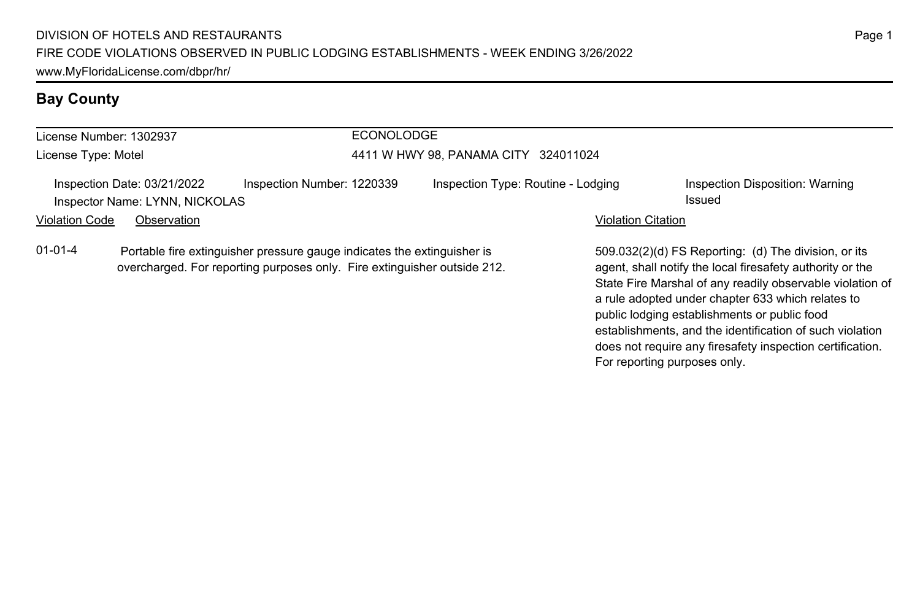# **Bay County**

| License Number: 1302937<br>License Type: Motel |                                                                              |                                                                         | <b>ECONOLODGE</b> | 4411 W HWY 98, PANAMA CITY 324011024 |                           |                                                                                                                                                                                |
|------------------------------------------------|------------------------------------------------------------------------------|-------------------------------------------------------------------------|-------------------|--------------------------------------|---------------------------|--------------------------------------------------------------------------------------------------------------------------------------------------------------------------------|
| <b>Violation Code</b>                          | Inspection Date: 03/21/2022<br>Inspector Name: LYNN, NICKOLAS<br>Observation | Inspection Number: 1220339                                              |                   | Inspection Type: Routine - Lodging   | <b>Violation Citation</b> | Inspection Disposition: Warning<br>Issued                                                                                                                                      |
| $01 - 01 - 4$                                  | overcharged. For reporting purposes only. Fire extinguisher outside 212.     | Portable fire extinguisher pressure gauge indicates the extinguisher is |                   |                                      |                           | 509.032(2)(d) FS Reporting: (d) The division, or its<br>agent, shall notify the local firesafety authority or the<br>State Fire Marshal of any readily observable violation of |

a rule adopted under chapter 633 which relates to public lodging establishments or public food

For reporting purposes only.

establishments, and the identification of such violation does not require any firesafety inspection certification.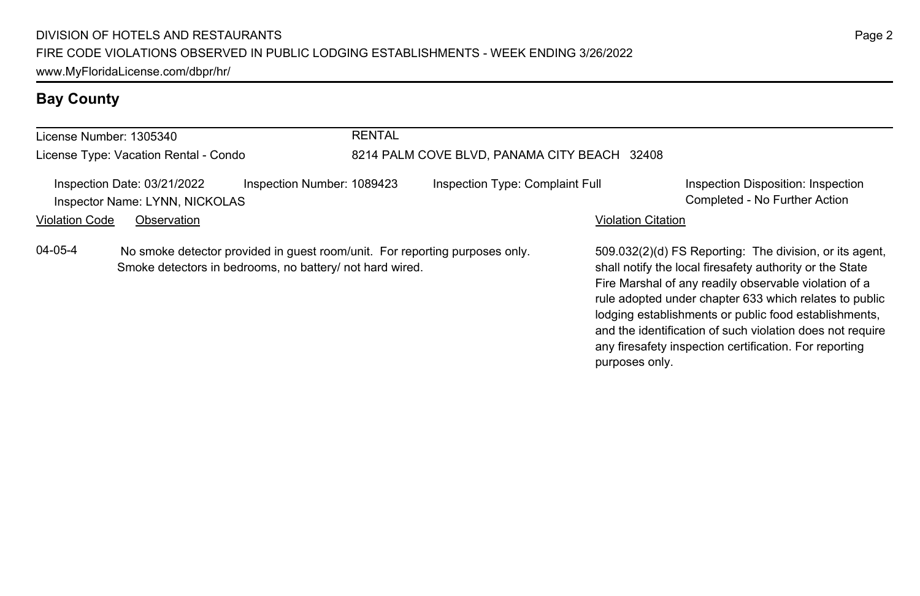# **Bay County**

| License Number: 1305340               |                                                                                                                                         | <b>RENTAL</b> |                                              |                           |                                                                                                                                                                                                                                                                                                                                                                                                                        |
|---------------------------------------|-----------------------------------------------------------------------------------------------------------------------------------------|---------------|----------------------------------------------|---------------------------|------------------------------------------------------------------------------------------------------------------------------------------------------------------------------------------------------------------------------------------------------------------------------------------------------------------------------------------------------------------------------------------------------------------------|
| License Type: Vacation Rental - Condo |                                                                                                                                         |               | 8214 PALM COVE BLVD, PANAMA CITY BEACH 32408 |                           |                                                                                                                                                                                                                                                                                                                                                                                                                        |
|                                       | Inspection Date: 03/21/2022<br>Inspection Number: 1089423<br>Inspector Name: LYNN, NICKOLAS                                             |               | Inspection Type: Complaint Full              |                           | Inspection Disposition: Inspection<br>Completed - No Further Action                                                                                                                                                                                                                                                                                                                                                    |
| <b>Violation Code</b>                 | Observation                                                                                                                             |               |                                              | <b>Violation Citation</b> |                                                                                                                                                                                                                                                                                                                                                                                                                        |
| 04-05-4                               | No smoke detector provided in quest room/unit. For reporting purposes only.<br>Smoke detectors in bedrooms, no battery/ not hard wired. |               |                                              | purposes only.            | 509.032(2)(d) FS Reporting: The division, or its agent,<br>shall notify the local firesafety authority or the State<br>Fire Marshal of any readily observable violation of a<br>rule adopted under chapter 633 which relates to public<br>lodging establishments or public food establishments,<br>and the identification of such violation does not require<br>any firesafety inspection certification. For reporting |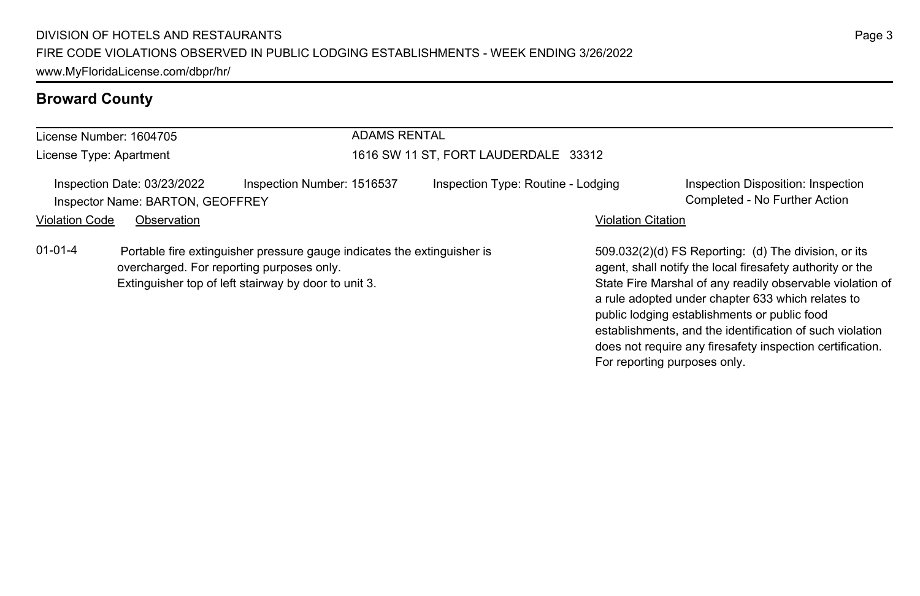| License Number: 1604705 |                                                                 |                                                                                                                                                                              | <b>ADAMS RENTAL</b>                  |                           |                                                                                                                                                                                                                                                                                                                                                 |  |  |
|-------------------------|-----------------------------------------------------------------|------------------------------------------------------------------------------------------------------------------------------------------------------------------------------|--------------------------------------|---------------------------|-------------------------------------------------------------------------------------------------------------------------------------------------------------------------------------------------------------------------------------------------------------------------------------------------------------------------------------------------|--|--|
| License Type: Apartment |                                                                 |                                                                                                                                                                              | 1616 SW 11 ST, FORT LAUDERDALE 33312 |                           |                                                                                                                                                                                                                                                                                                                                                 |  |  |
|                         | Inspection Date: 03/23/2022<br>Inspector Name: BARTON, GEOFFREY | Inspection Number: 1516537                                                                                                                                                   | Inspection Type: Routine - Lodging   |                           | Inspection Disposition: Inspection<br>Completed - No Further Action                                                                                                                                                                                                                                                                             |  |  |
| <b>Violation Code</b>   | Observation                                                     |                                                                                                                                                                              |                                      | <b>Violation Citation</b> |                                                                                                                                                                                                                                                                                                                                                 |  |  |
| $01 - 01 - 4$           |                                                                 | Portable fire extinguisher pressure gauge indicates the extinguisher is<br>overcharged. For reporting purposes only.<br>Extinguisher top of left stairway by door to unit 3. |                                      |                           | 509.032(2)(d) FS Reporting: (d) The division, or its<br>agent, shall notify the local firesafety authority or the<br>State Fire Marshal of any readily observable violation of<br>a rule adopted under chapter 633 which relates to<br>public lodging establishments or public food<br>establishments, and the identification of such violation |  |  |

does not require any firesafety inspection certification.

For reporting purposes only.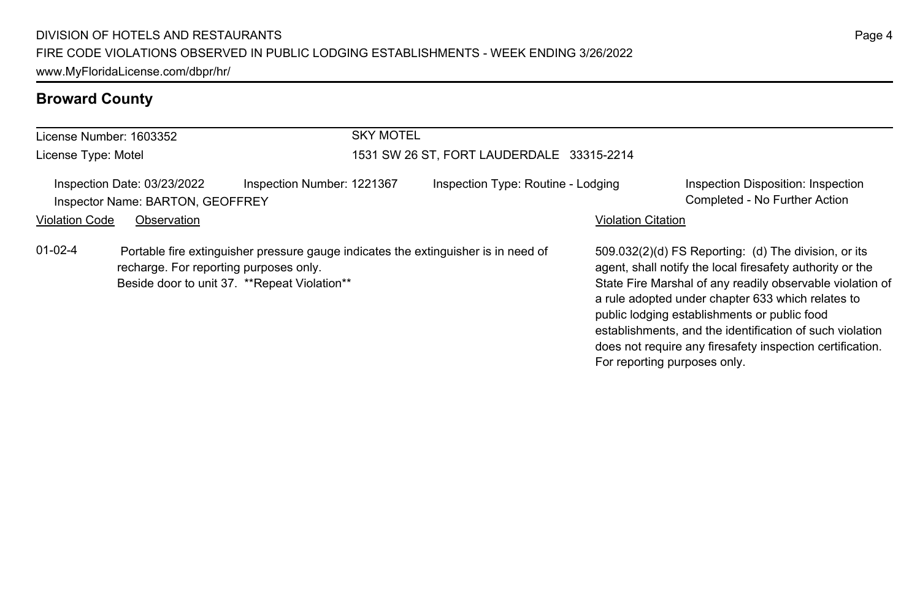| License Number: 1603352                                                                                                                                                                       | <b>SKY MOTEL</b>                          |                                                                                                                                                                                                                                                                                                                                                                                                                                              |
|-----------------------------------------------------------------------------------------------------------------------------------------------------------------------------------------------|-------------------------------------------|----------------------------------------------------------------------------------------------------------------------------------------------------------------------------------------------------------------------------------------------------------------------------------------------------------------------------------------------------------------------------------------------------------------------------------------------|
| License Type: Motel                                                                                                                                                                           | 1531 SW 26 ST, FORT LAUDERDALE 33315-2214 |                                                                                                                                                                                                                                                                                                                                                                                                                                              |
| Inspection Number: 1221367<br>Inspection Date: 03/23/2022<br>Inspector Name: BARTON, GEOFFREY                                                                                                 | Inspection Type: Routine - Lodging        | Inspection Disposition: Inspection<br>Completed - No Further Action                                                                                                                                                                                                                                                                                                                                                                          |
| <b>Violation Code</b><br>Observation                                                                                                                                                          |                                           | <b>Violation Citation</b>                                                                                                                                                                                                                                                                                                                                                                                                                    |
| $01 - 02 - 4$<br>Portable fire extinguisher pressure gauge indicates the extinguisher is in need of<br>recharge. For reporting purposes only.<br>Beside door to unit 37. **Repeat Violation** |                                           | 509.032(2)(d) FS Reporting: (d) The division, or its<br>agent, shall notify the local firesafety authority or the<br>State Fire Marshal of any readily observable violation of<br>a rule adopted under chapter 633 which relates to<br>public lodging establishments or public food<br>establishments, and the identification of such violation<br>does not require any firesafety inspection certification.<br>For reporting purposes only. |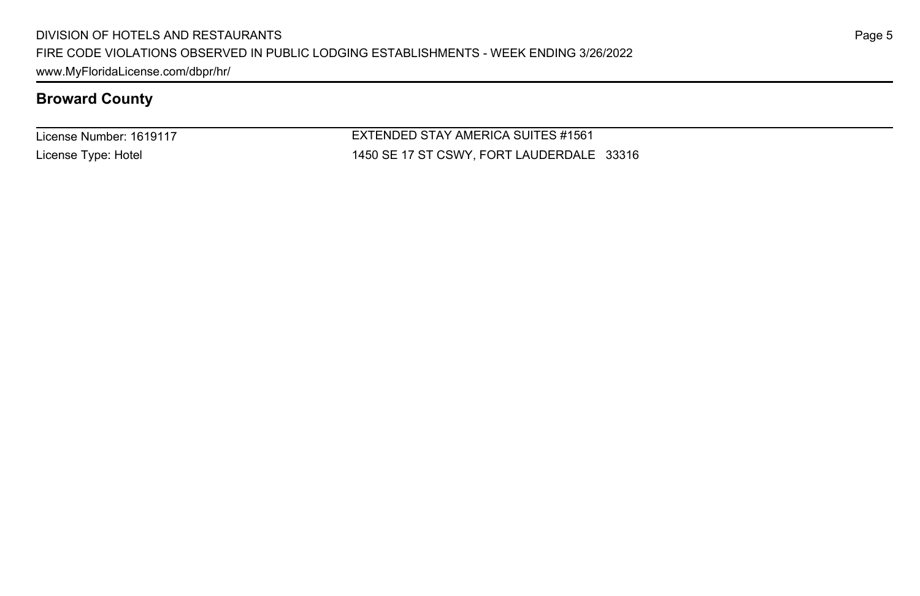License Number: 1619117 License Type: Hotel

EXTENDED STAY AMERICA SUITES #1561 1450 SE 17 ST CSWY, FORT LAUDERDALE 33316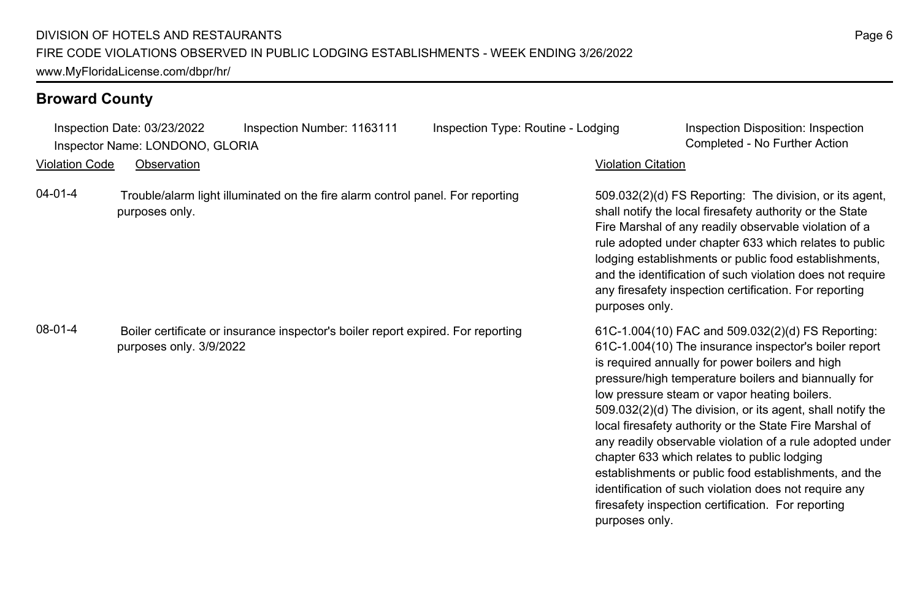Inspection Date: 03/23/2022 Inspection Number: 1163111 Inspection Type: Routine - Lodging Inspection Disposition: Inspection Inspector Name: LONDONO, GLORIA Completed - No Further Action

Violation Code Observation Violation Citation

04-01-4 Trouble/alarm light illuminated on the fire alarm control panel. For reporting purposes only.

08-01-4 Boiler certificate or insurance inspector's boiler report expired. For reporting purposes only. 3/9/2022

509.032(2)(d) FS Reporting: The division, or its agent, shall notify the local firesafety authority or the State Fire Marshal of any readily observable violation of a rule adopted under chapter 633 which relates to public lodging establishments or public food establishments, and the identification of such violation does not require any firesafety inspection certification. For reporting purposes only.

61C-1.004(10) FAC and 509.032(2)(d) FS Reporting: 61C-1.004(10) The insurance inspector's boiler report is required annually for power boilers and high pressure/high temperature boilers and biannually for low pressure steam or vapor heating boilers. 509.032(2)(d) The division, or its agent, shall notify the local firesafety authority or the State Fire Marshal of any readily observable violation of a rule adopted under chapter 633 which relates to public lodging establishments or public food establishments, and the identification of such violation does not require any firesafety inspection certification. For reporting purposes only.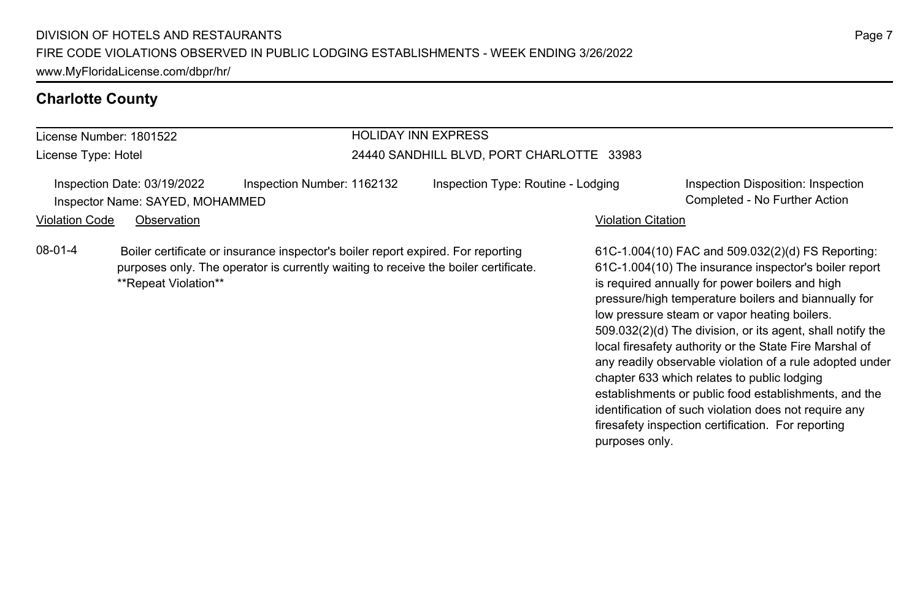### **Charlotte County**

# License Number: 1801522

License Type: Hotel

### HOLIDAY INN EXPRESS

### 24440 SANDHILL BLVD, PORT CHARLOTTE 33983

Inspection Date: 03/19/2022 Inspection Number: 1162132 Inspection Type: Routine - Lodging Inspection Disposition: Inspection Inspector Name: SAYED, MOHAMMED Completed - No Further Action

### Violation Code Observation Violation Citation

08-01-4 Boiler certificate or insurance inspector's boiler report expired. For reporting purposes only. The operator is currently waiting to receive the boiler certificate. \*\*Repeat Violation\*\*

61C-1.004(10) FAC and 509.032(2)(d) FS Reporting: 61C-1.004(10) The insurance inspector's boiler report is required annually for power boilers and high pressure/high temperature boilers and biannually for low pressure steam or vapor heating boilers. 509.032(2)(d) The division, or its agent, shall notify the local firesafety authority or the State Fire Marshal of any readily observable violation of a rule adopted under chapter 633 which relates to public lodging establishments or public food establishments, and the identification of such violation does not require any firesafety inspection certification. For reporting purposes only.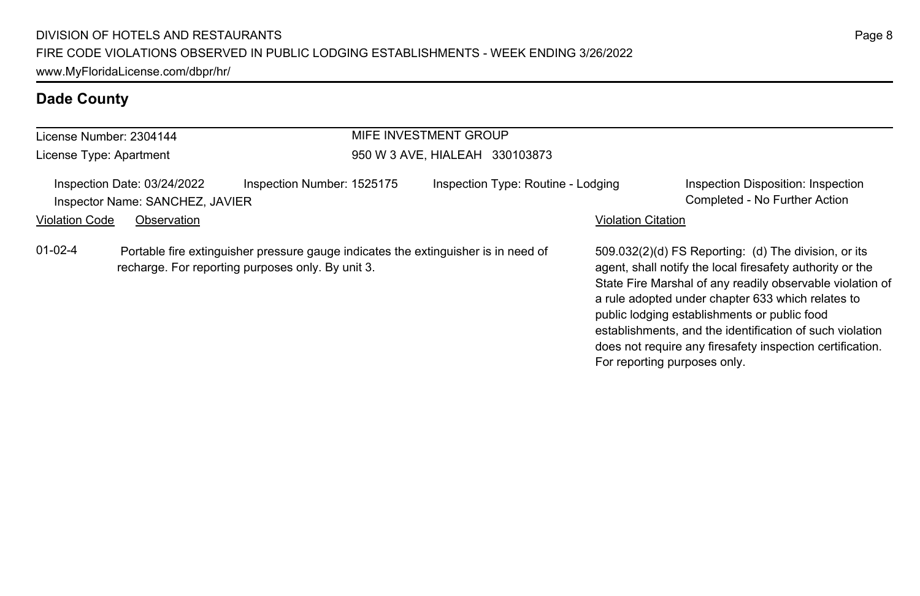| License Number: 2304144 |                                                                |                                                                                                                                         | MIFE INVESTMENT GROUP              |                           |                                                                                                                                                                                                                                                                                                                                                                                                                                              |
|-------------------------|----------------------------------------------------------------|-----------------------------------------------------------------------------------------------------------------------------------------|------------------------------------|---------------------------|----------------------------------------------------------------------------------------------------------------------------------------------------------------------------------------------------------------------------------------------------------------------------------------------------------------------------------------------------------------------------------------------------------------------------------------------|
| License Type: Apartment |                                                                |                                                                                                                                         | 950 W 3 AVE, HIALEAH 330103873     |                           |                                                                                                                                                                                                                                                                                                                                                                                                                                              |
|                         | Inspection Date: 03/24/2022<br>Inspector Name: SANCHEZ, JAVIER | Inspection Number: 1525175                                                                                                              | Inspection Type: Routine - Lodging |                           | Inspection Disposition: Inspection<br>Completed - No Further Action                                                                                                                                                                                                                                                                                                                                                                          |
| <b>Violation Code</b>   | Observation                                                    |                                                                                                                                         |                                    | <b>Violation Citation</b> |                                                                                                                                                                                                                                                                                                                                                                                                                                              |
| $01 - 02 - 4$           |                                                                | Portable fire extinguisher pressure gauge indicates the extinguisher is in need of<br>recharge. For reporting purposes only. By unit 3. |                                    |                           | 509.032(2)(d) FS Reporting: (d) The division, or its<br>agent, shall notify the local firesafety authority or the<br>State Fire Marshal of any readily observable violation of<br>a rule adopted under chapter 633 which relates to<br>public lodging establishments or public food<br>establishments, and the identification of such violation<br>does not require any firesafety inspection certification.<br>For reporting purposes only. |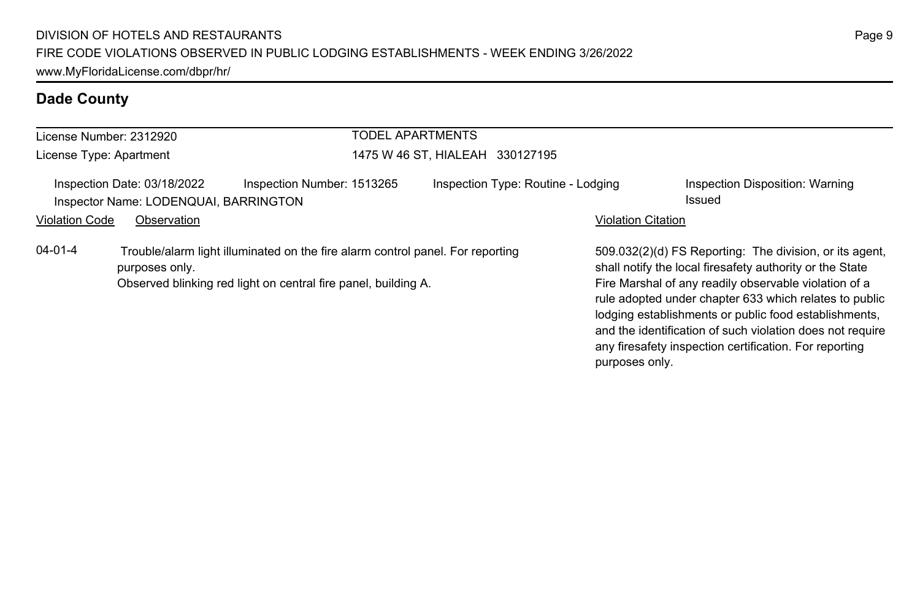|                       | License Number: 2312920                                              | <b>TODEL APARTMENTS</b>                                                                                                                          |                                    |                           |                                                                                                                                                                                                                                                                                                                                                              |
|-----------------------|----------------------------------------------------------------------|--------------------------------------------------------------------------------------------------------------------------------------------------|------------------------------------|---------------------------|--------------------------------------------------------------------------------------------------------------------------------------------------------------------------------------------------------------------------------------------------------------------------------------------------------------------------------------------------------------|
|                       | License Type: Apartment                                              |                                                                                                                                                  | 1475 W 46 ST. HIALEAH 330127195    |                           |                                                                                                                                                                                                                                                                                                                                                              |
|                       | Inspection Date: 03/18/2022<br>Inspector Name: LODENQUAI, BARRINGTON | Inspection Number: 1513265                                                                                                                       | Inspection Type: Routine - Lodging |                           | Inspection Disposition: Warning<br><b>Issued</b>                                                                                                                                                                                                                                                                                                             |
| <b>Violation Code</b> | Observation                                                          |                                                                                                                                                  |                                    | <b>Violation Citation</b> |                                                                                                                                                                                                                                                                                                                                                              |
| 04-01-4               | purposes only.                                                       | Trouble/alarm light illuminated on the fire alarm control panel. For reporting<br>Observed blinking red light on central fire panel, building A. |                                    |                           | 509.032(2)(d) FS Reporting: The division, or its agent,<br>shall notify the local firesafety authority or the State<br>Fire Marshal of any readily observable violation of a<br>rule adopted under chapter 633 which relates to public<br>lodging establishments or public food establishments,<br>and the identification of such violation does not require |

any firesafety inspection certification. For reporting

purposes only.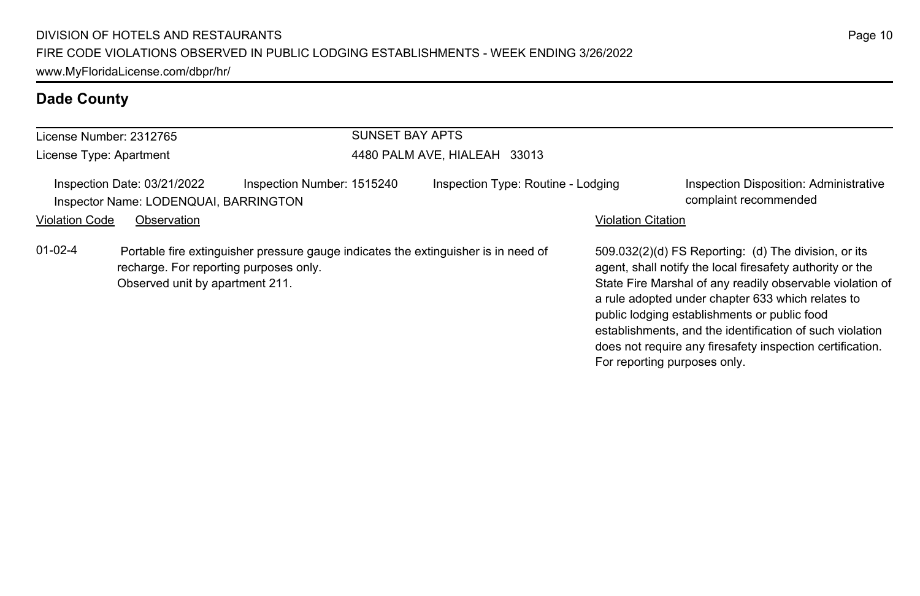| License Number: 2312765 |                                                                           |                            | <b>SUNSET BAY APTS</b> |                                                                                    |                              |                                                                                                                                                                                                                                                                                                                                                                                                              |
|-------------------------|---------------------------------------------------------------------------|----------------------------|------------------------|------------------------------------------------------------------------------------|------------------------------|--------------------------------------------------------------------------------------------------------------------------------------------------------------------------------------------------------------------------------------------------------------------------------------------------------------------------------------------------------------------------------------------------------------|
| License Type: Apartment |                                                                           |                            |                        | 4480 PALM AVE, HIALEAH 33013                                                       |                              |                                                                                                                                                                                                                                                                                                                                                                                                              |
|                         | Inspection Date: 03/21/2022<br>Inspector Name: LODENQUAI, BARRINGTON      | Inspection Number: 1515240 |                        | Inspection Type: Routine - Lodging                                                 |                              | <b>Inspection Disposition: Administrative</b><br>complaint recommended                                                                                                                                                                                                                                                                                                                                       |
| <b>Violation Code</b>   | Observation                                                               |                            |                        |                                                                                    | <b>Violation Citation</b>    |                                                                                                                                                                                                                                                                                                                                                                                                              |
| $01 - 02 - 4$           | recharge. For reporting purposes only.<br>Observed unit by apartment 211. |                            |                        | Portable fire extinguisher pressure gauge indicates the extinguisher is in need of | For reporting purposes only. | 509.032(2)(d) FS Reporting: (d) The division, or its<br>agent, shall notify the local firesafety authority or the<br>State Fire Marshal of any readily observable violation of<br>a rule adopted under chapter 633 which relates to<br>public lodging establishments or public food<br>establishments, and the identification of such violation<br>does not require any firesafety inspection certification. |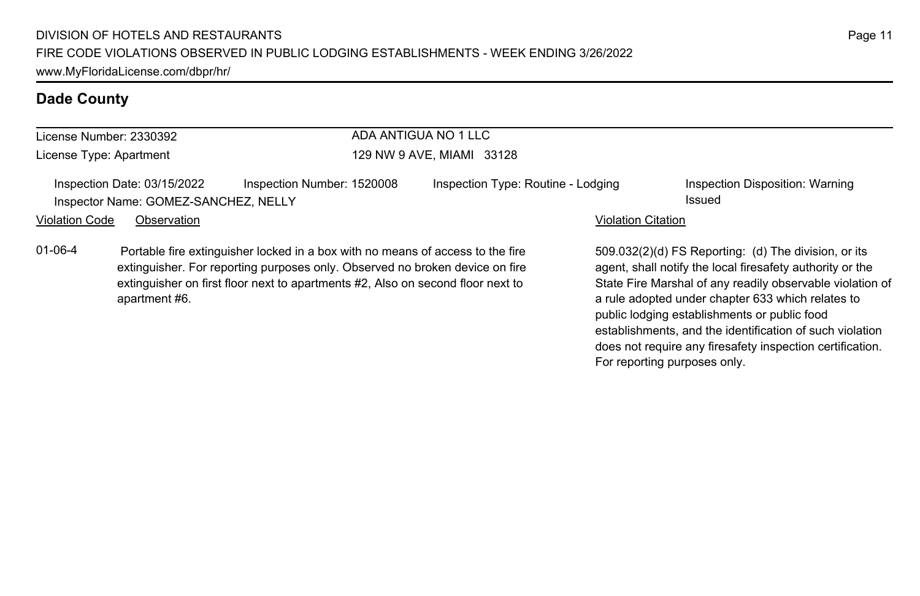| ADA ANTIGUA NO 1 LLC<br>License Number: 2330392 |                                                                     |                                                                                                                                                              |                                    |                           |                                                                                                                   |
|-------------------------------------------------|---------------------------------------------------------------------|--------------------------------------------------------------------------------------------------------------------------------------------------------------|------------------------------------|---------------------------|-------------------------------------------------------------------------------------------------------------------|
| License Type: Apartment                         |                                                                     |                                                                                                                                                              | 129 NW 9 AVE, MIAMI 33128          |                           |                                                                                                                   |
|                                                 | Inspection Date: 03/15/2022<br>Inspector Name: GOMEZ-SANCHEZ, NELLY | Inspection Number: 1520008                                                                                                                                   | Inspection Type: Routine - Lodging |                           | Inspection Disposition: Warning<br>Issued                                                                         |
| <b>Violation Code</b><br>Observation            |                                                                     |                                                                                                                                                              |                                    | <b>Violation Citation</b> |                                                                                                                   |
| $01 - 06 - 4$                                   |                                                                     | Portable fire extinguisher locked in a box with no means of access to the fire<br>extinguisher For reporting purposes only Observed no broken device on fire |                                    |                           | 509.032(2)(d) FS Reporting: (d) The division, or its<br>agent, shall notify the local firesafety authority or the |

extinguisher. For reporting purposes only. Observed no broken device on fire extinguisher on first floor next to apartments #2, Also on second floor next to apartment #6.

509.032(2)(d) FS Reporting: (d) The division, or its agent, shall notify the local firesafety authority or the State Fire Marshal of any readily observable violation of a rule adopted under chapter 633 which relates to public lodging establishments or public food establishments, and the identification of such violation does not require any firesafety inspection certification. For reporting purposes only.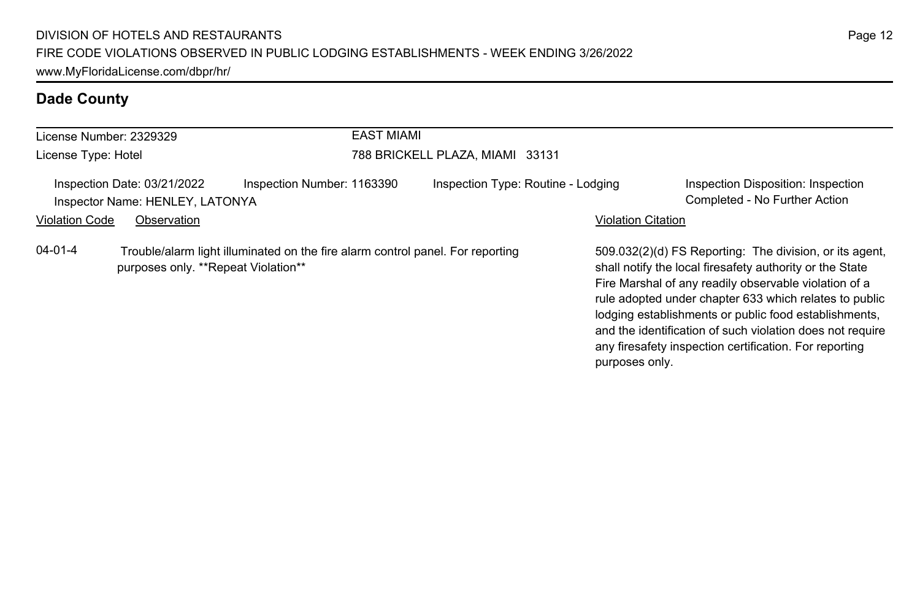|                       | License Number: 2329329                                        | <b>EAST MIAMI</b>                                                              |                                    |                           |                                                                                                                                                                                                                                                                                                 |
|-----------------------|----------------------------------------------------------------|--------------------------------------------------------------------------------|------------------------------------|---------------------------|-------------------------------------------------------------------------------------------------------------------------------------------------------------------------------------------------------------------------------------------------------------------------------------------------|
| License Type: Hotel   |                                                                |                                                                                | 788 BRICKELL PLAZA, MIAMI 33131    |                           |                                                                                                                                                                                                                                                                                                 |
|                       | Inspection Date: 03/21/2022<br>Inspector Name: HENLEY, LATONYA | Inspection Number: 1163390                                                     | Inspection Type: Routine - Lodging |                           | Inspection Disposition: Inspection<br>Completed - No Further Action                                                                                                                                                                                                                             |
| <b>Violation Code</b> | Observation                                                    |                                                                                |                                    | <b>Violation Citation</b> |                                                                                                                                                                                                                                                                                                 |
| $04 - 01 - 4$         | purposes only. **Repeat Violation**                            | Trouble/alarm light illuminated on the fire alarm control panel. For reporting |                                    |                           | 509.032(2)(d) FS Reporting: The division, or its agent.<br>shall notify the local firesafety authority or the State<br>Fire Marshal of any readily observable violation of a<br>rule adopted under chapter 633 which relates to public<br>lodging establishments or public food establishments, |

and the identification of such violation does not require any firesafety inspection certification. For reporting

purposes only.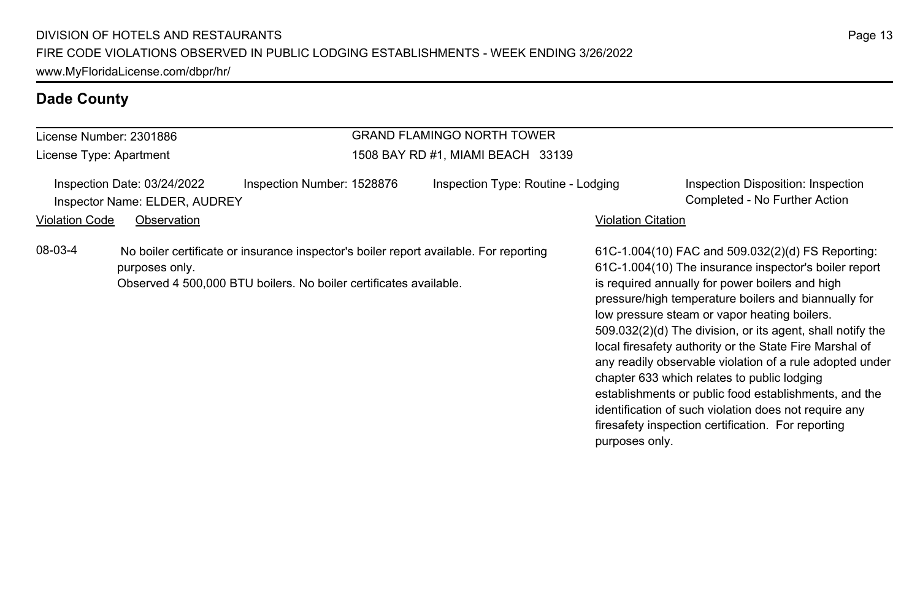### License Number: 2301886 License Type: Apartment GRAND FLAMINGO NORTH TOWER 1508 BAY RD #1, MIAMI BEACH 33139 Inspection Date: 03/24/2022 Inspection Number: 1528876 Inspection Type: Routine - Lodging Inspection Disposition: Inspection Inspector Name: ELDER, AUDREY Completed - No Further Action Violation Code Observation **Violation Code** Observation **Violation** Violation Citation Citation Citation Citation 61C-1.004(10) FAC and 509.032(2)(d) FS Reporting: 61C-1.004(10) The insurance inspector's boiler report is required annually for power boilers and high pressure/high temperature boilers and biannually for low pressure steam or vapor heating boilers. 509.032(2)(d) The division, or its agent, shall notify the local firesafety authority or the State Fire Marshal of any readily observable violation of a rule adopted under chapter 633 which relates to public lodging establishments or public food establishments, and the identification of such violation does not require any firesafety inspection certification. For reporting purposes only. 08-03-4 No boiler certificate or insurance inspector's boiler report available. For reporting purposes only. Observed 4 500,000 BTU boilers. No boiler certificates available.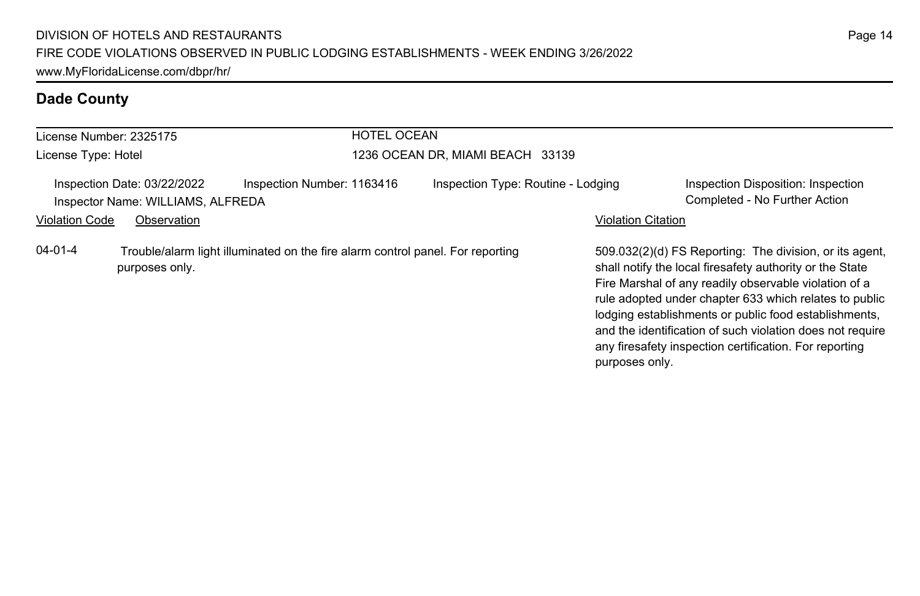| License Number: 2325175                                                                                           |                                                                  |                            | <b>HOTEL OCEAN</b> |                                    |                           |                                                                                                                                                                                                                                                                                                                                                                                                                        |
|-------------------------------------------------------------------------------------------------------------------|------------------------------------------------------------------|----------------------------|--------------------|------------------------------------|---------------------------|------------------------------------------------------------------------------------------------------------------------------------------------------------------------------------------------------------------------------------------------------------------------------------------------------------------------------------------------------------------------------------------------------------------------|
| License Type: Hotel                                                                                               |                                                                  |                            |                    | 1236 OCEAN DR, MIAMI BEACH 33139   |                           |                                                                                                                                                                                                                                                                                                                                                                                                                        |
|                                                                                                                   | Inspection Date: 03/22/2022<br>Inspector Name: WILLIAMS, ALFREDA | Inspection Number: 1163416 |                    | Inspection Type: Routine - Lodging |                           | Inspection Disposition: Inspection<br>Completed - No Further Action                                                                                                                                                                                                                                                                                                                                                    |
| <b>Violation Code</b>                                                                                             | Observation                                                      |                            |                    |                                    | <b>Violation Citation</b> |                                                                                                                                                                                                                                                                                                                                                                                                                        |
| $04 - 01 - 4$<br>Trouble/alarm light illuminated on the fire alarm control panel. For reporting<br>purposes only. |                                                                  |                            |                    |                                    |                           | 509.032(2)(d) FS Reporting: The division, or its agent,<br>shall notify the local firesafety authority or the State<br>Fire Marshal of any readily observable violation of a<br>rule adopted under chapter 633 which relates to public<br>lodging establishments or public food establishments,<br>and the identification of such violation does not require<br>any firesafety inspection certification. For reporting |

purposes only.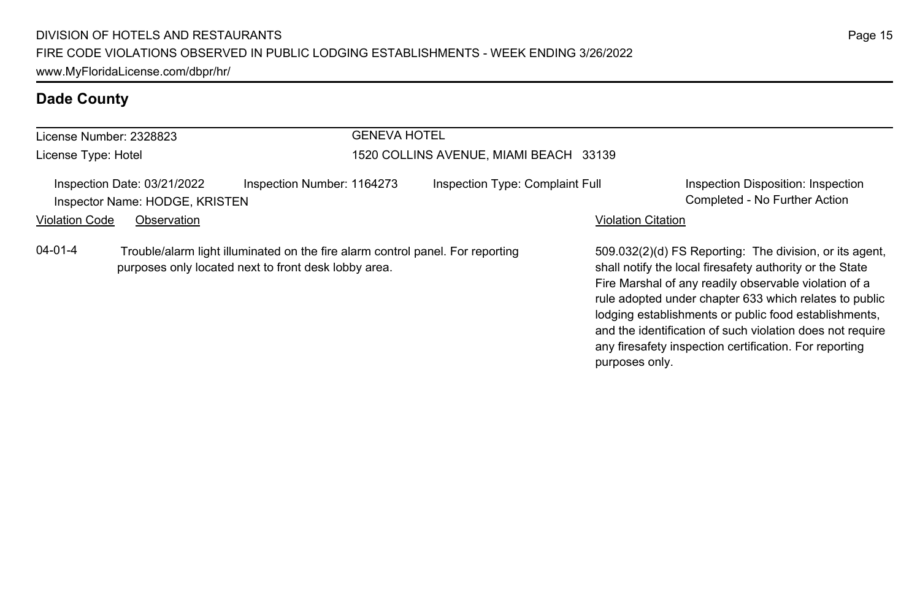| License Number: 2328823 |                                                               | <b>GENEVA HOTEL</b>                                                                                                                    |                                        |                                 |                    |                                                                                                                                                                              |
|-------------------------|---------------------------------------------------------------|----------------------------------------------------------------------------------------------------------------------------------------|----------------------------------------|---------------------------------|--------------------|------------------------------------------------------------------------------------------------------------------------------------------------------------------------------|
| License Type: Hotel     |                                                               |                                                                                                                                        | 1520 COLLINS AVENUE, MIAMI BEACH 33139 |                                 |                    |                                                                                                                                                                              |
|                         | Inspection Date: 03/21/2022<br>Inspector Name: HODGE, KRISTEN | Inspection Number: 1164273                                                                                                             |                                        | Inspection Type: Complaint Full |                    | Inspection Disposition: Inspection<br>Completed - No Further Action                                                                                                          |
| <b>Violation Code</b>   | Observation                                                   |                                                                                                                                        |                                        |                                 | Violation Citation |                                                                                                                                                                              |
| 04-01-4                 |                                                               | Trouble/alarm light illuminated on the fire alarm control panel. For reporting<br>purposes only located next to front desk lobby area. |                                        |                                 |                    | 509.032(2)(d) FS Reporting: The division, or its agent,<br>shall notify the local firesafety authority or the State<br>Fire Marshal of any readily observable violation of a |

rule adopted under chapter 633 which relates to public lodging establishments or public food establishments, and the identification of such violation does not require any firesafety inspection certification. For reporting

purposes only.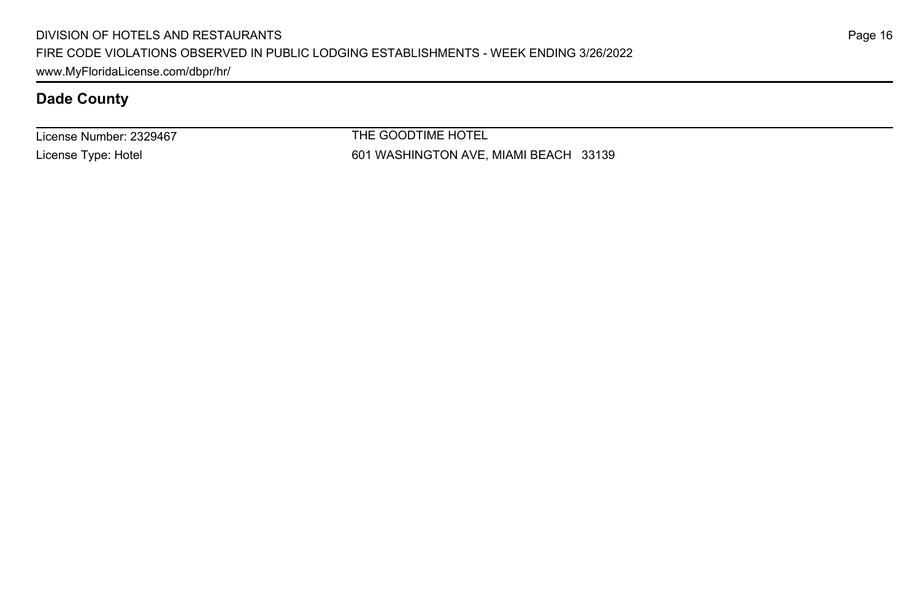License Number: 2329467 License Type: Hotel

THE GOODTIME HOTEL 601 WASHINGTON AVE, MIAMI BEACH 33139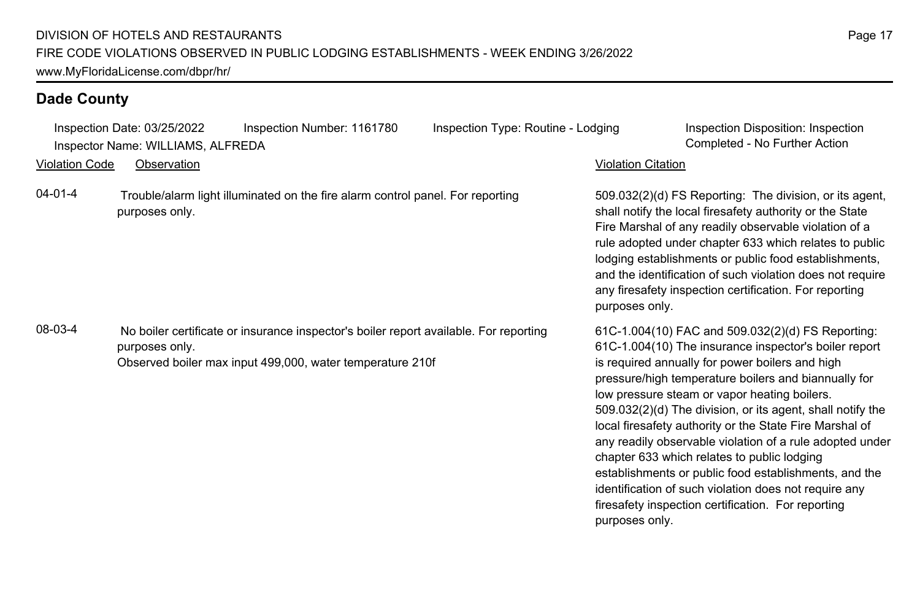|                       | Inspection Date: 03/25/2022<br>Inspector Name: WILLIAMS, ALFREDA | Inspection Number: 1161780                                                                                                                         | Inspection Type: Routine - Lodging |                           | Inspection Disposition: Inspection<br>Completed - No Further Action                                                                                                                                                                                                                                                                                                                                                                                                                                                                                                                                                                                                               |
|-----------------------|------------------------------------------------------------------|----------------------------------------------------------------------------------------------------------------------------------------------------|------------------------------------|---------------------------|-----------------------------------------------------------------------------------------------------------------------------------------------------------------------------------------------------------------------------------------------------------------------------------------------------------------------------------------------------------------------------------------------------------------------------------------------------------------------------------------------------------------------------------------------------------------------------------------------------------------------------------------------------------------------------------|
| <b>Violation Code</b> | Observation                                                      |                                                                                                                                                    |                                    | <b>Violation Citation</b> |                                                                                                                                                                                                                                                                                                                                                                                                                                                                                                                                                                                                                                                                                   |
| $04 - 01 - 4$         | purposes only.                                                   | Trouble/alarm light illuminated on the fire alarm control panel. For reporting                                                                     |                                    | purposes only.            | 509.032(2)(d) FS Reporting: The division, or its agent,<br>shall notify the local firesafety authority or the State<br>Fire Marshal of any readily observable violation of a<br>rule adopted under chapter 633 which relates to public<br>lodging establishments or public food establishments,<br>and the identification of such violation does not require<br>any firesafety inspection certification. For reporting                                                                                                                                                                                                                                                            |
| 08-03-4               | purposes only.                                                   | No boiler certificate or insurance inspector's boiler report available. For reporting<br>Observed boiler max input 499,000, water temperature 210f |                                    | purposes only.            | 61C-1.004(10) FAC and 509.032(2)(d) FS Reporting:<br>61C-1.004(10) The insurance inspector's boiler report<br>is required annually for power boilers and high<br>pressure/high temperature boilers and biannually for<br>low pressure steam or vapor heating boilers.<br>509.032(2)(d) The division, or its agent, shall notify the<br>local firesafety authority or the State Fire Marshal of<br>any readily observable violation of a rule adopted under<br>chapter 633 which relates to public lodging<br>establishments or public food establishments, and the<br>identification of such violation does not require any<br>firesafety inspection certification. For reporting |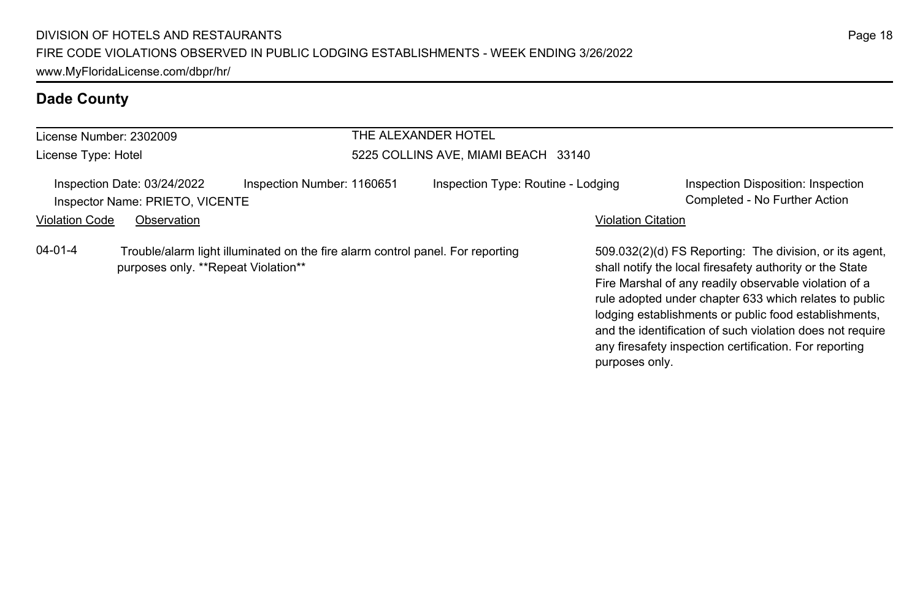| License Number: 2302009                                                                                                                |                                                                |                            | THE ALEXANDER HOTEL                 |                                    |                           |                                                                                                                                                                                                                                        |  |
|----------------------------------------------------------------------------------------------------------------------------------------|----------------------------------------------------------------|----------------------------|-------------------------------------|------------------------------------|---------------------------|----------------------------------------------------------------------------------------------------------------------------------------------------------------------------------------------------------------------------------------|--|
| License Type: Hotel                                                                                                                    |                                                                |                            | 5225 COLLINS AVE, MIAMI BEACH 33140 |                                    |                           |                                                                                                                                                                                                                                        |  |
|                                                                                                                                        | Inspection Date: 03/24/2022<br>Inspector Name: PRIETO, VICENTE | Inspection Number: 1160651 |                                     | Inspection Type: Routine - Lodging |                           | Inspection Disposition: Inspection<br>Completed - No Further Action                                                                                                                                                                    |  |
| <b>Violation Code</b>                                                                                                                  | Observation                                                    |                            |                                     |                                    | <b>Violation Citation</b> |                                                                                                                                                                                                                                        |  |
| $04 - 01 - 4$<br>Trouble/alarm light illuminated on the fire alarm control panel. For reporting<br>purposes only. **Repeat Violation** |                                                                |                            |                                     |                                    |                           | 509.032(2)(d) FS Reporting: The division, or its agent,<br>shall notify the local firesafety authority or the State<br>Fire Marshal of any readily observable violation of a<br>rule adopted under chapter 633 which relates to public |  |

lodging establishments or public food establishments, and the identification of such violation does not require any firesafety inspection certification. For reporting

purposes only.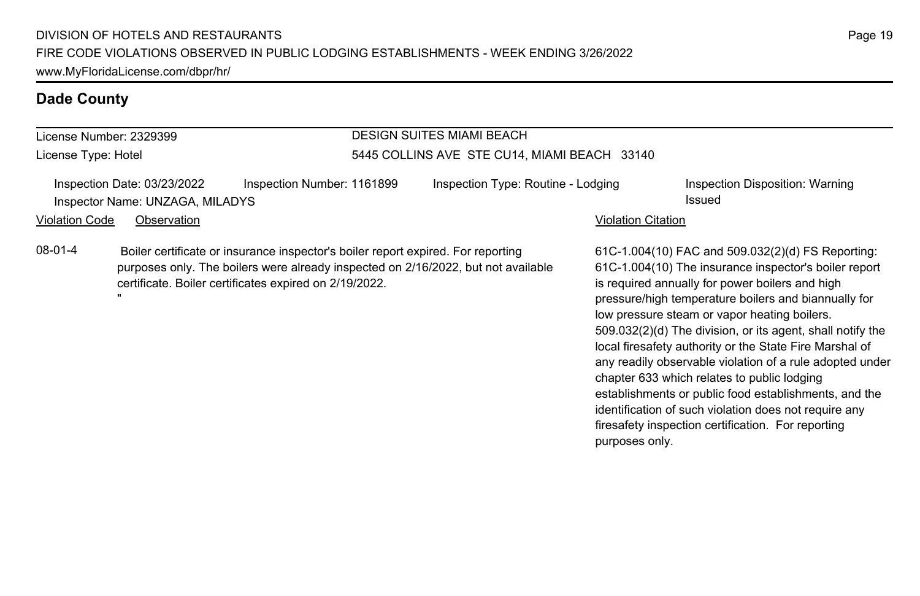| License Number: 2329399<br>License Type: Hotel                                                                                                                                                                                             |             |  | <b>DESIGN SUITES MIAMI BEACH</b><br>5445 COLLINS AVE STE CU14, MIAMI BEACH 33140 |  |                           |                                                                                                                                                                                                                                                                      |  |
|--------------------------------------------------------------------------------------------------------------------------------------------------------------------------------------------------------------------------------------------|-------------|--|----------------------------------------------------------------------------------|--|---------------------------|----------------------------------------------------------------------------------------------------------------------------------------------------------------------------------------------------------------------------------------------------------------------|--|
|                                                                                                                                                                                                                                            |             |  |                                                                                  |  |                           |                                                                                                                                                                                                                                                                      |  |
| Violation Code                                                                                                                                                                                                                             | Observation |  |                                                                                  |  | <b>Violation Citation</b> |                                                                                                                                                                                                                                                                      |  |
| 08-01-4<br>Boiler certificate or insurance inspector's boiler report expired. For reporting<br>purposes only. The boilers were already inspected on 2/16/2022, but not available<br>certificate. Boiler certificates expired on 2/19/2022. |             |  |                                                                                  |  |                           | 61C-1.004(10) FAC and 509.032(2)(d) FS Reporting:<br>61C-1.004(10) The insurance inspector's boiler report<br>is required annually for power boilers and high<br>pressure/high temperature boilers and biannually for<br>low proseuro stoom or vapor booting boilors |  |

low pressure steam or vapor heating boilers. 509.032(2)(d) The division, or its agent, shall notify the local firesafety authority or the State Fire Marshal of

any readily observable violation of a rule adopted under

establishments or public food establishments, and the identification of such violation does not require any firesafety inspection certification. For reporting

chapter 633 which relates to public lodging

purposes only.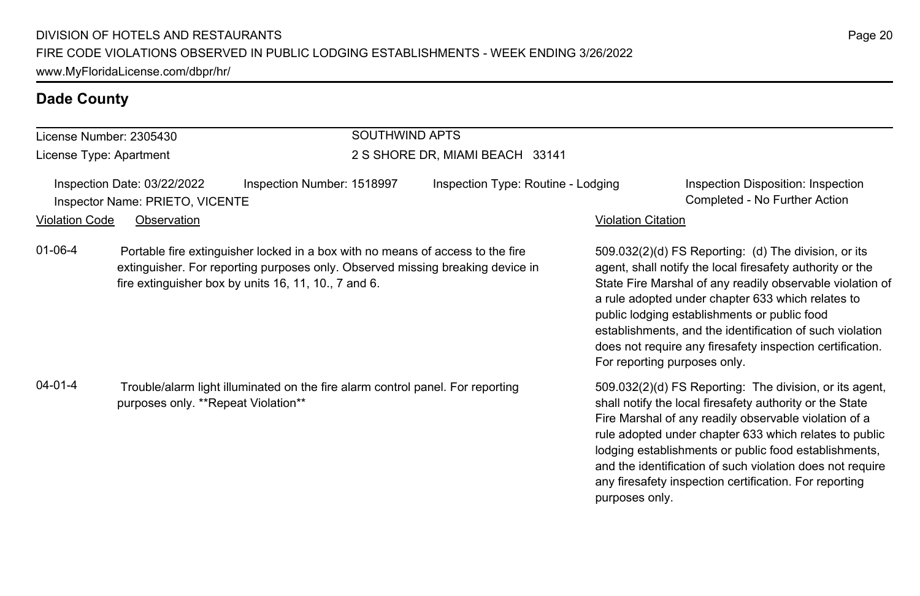### License Number: 2305430

License Type: Apartment

# SOUTHWIND APTS

### 2 S SHORE DR, MIAMI BEACH 33141

Inspection Date: 03/22/2022 Inspection Number: 1518997 Inspection Type: Routine - Lodging Inspection Disposition: Inspection Inspector Name: PRIETO, VICENTE Completed - No Further Action

### Violation Code Observation Violation Citation

01-06-4 Portable fire extinguisher locked in a box with no means of access to the fire extinguisher. For reporting purposes only. Observed missing breaking device in fire extinguisher box by units 16, 11, 10., 7 and 6.

04-01-4 Trouble/alarm light illuminated on the fire alarm control panel. For reporting purposes only. \*\*Repeat Violation\*\*

509.032(2)(d) FS Reporting: (d) The division, or its agent, shall notify the local firesafety authority or the State Fire Marshal of any readily observable violation of a rule adopted under chapter 633 which relates to public lodging establishments or public food establishments, and the identification of such violation does not require any firesafety inspection certification. For reporting purposes only.

509.032(2)(d) FS Reporting: The division, or its agent, shall notify the local firesafety authority or the State Fire Marshal of any readily observable violation of a rule adopted under chapter 633 which relates to public lodging establishments or public food establishments, and the identification of such violation does not require any firesafety inspection certification. For reporting purposes only.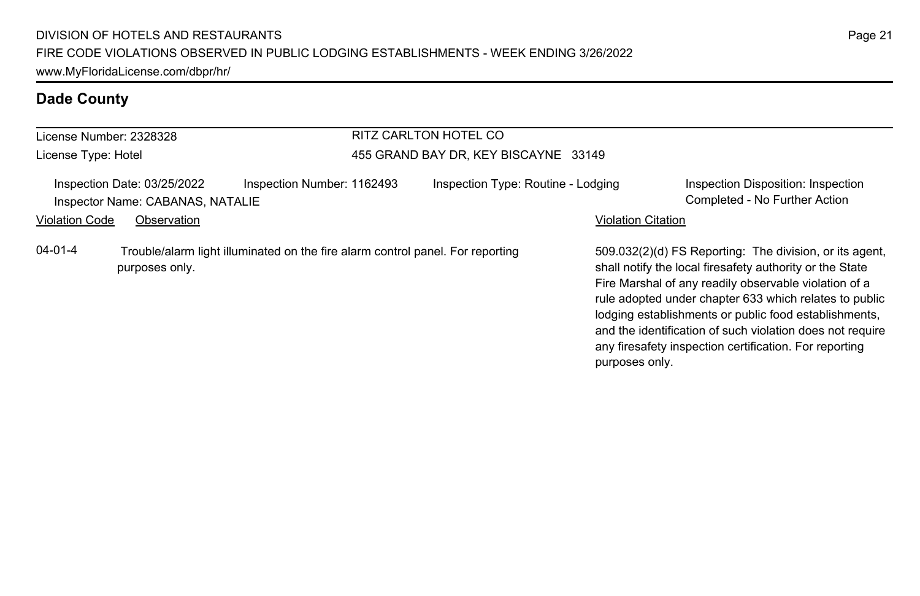| License Number: 2328328 |                                                                 |                                                                                | RITZ CARLTON HOTEL CO                |                           |                                                                                                                                                                                                                                                                                                                                                              |
|-------------------------|-----------------------------------------------------------------|--------------------------------------------------------------------------------|--------------------------------------|---------------------------|--------------------------------------------------------------------------------------------------------------------------------------------------------------------------------------------------------------------------------------------------------------------------------------------------------------------------------------------------------------|
| License Type: Hotel     |                                                                 |                                                                                | 455 GRAND BAY DR, KEY BISCAYNE 33149 |                           |                                                                                                                                                                                                                                                                                                                                                              |
|                         | Inspection Date: 03/25/2022<br>Inspector Name: CABANAS, NATALIE | Inspection Number: 1162493                                                     | Inspection Type: Routine - Lodging   |                           | Inspection Disposition: Inspection<br>Completed - No Further Action                                                                                                                                                                                                                                                                                          |
| <b>Violation Code</b>   | Observation                                                     |                                                                                |                                      | <b>Violation Citation</b> |                                                                                                                                                                                                                                                                                                                                                              |
| $04 - 01 - 4$           | purposes only.                                                  | Trouble/alarm light illuminated on the fire alarm control panel. For reporting |                                      |                           | 509.032(2)(d) FS Reporting: The division, or its agent.<br>shall notify the local firesafety authority or the State<br>Fire Marshal of any readily observable violation of a<br>rule adopted under chapter 633 which relates to public<br>lodging establishments or public food establishments,<br>and the identification of such violation does not require |

any firesafety inspection certification. For reporting

purposes only.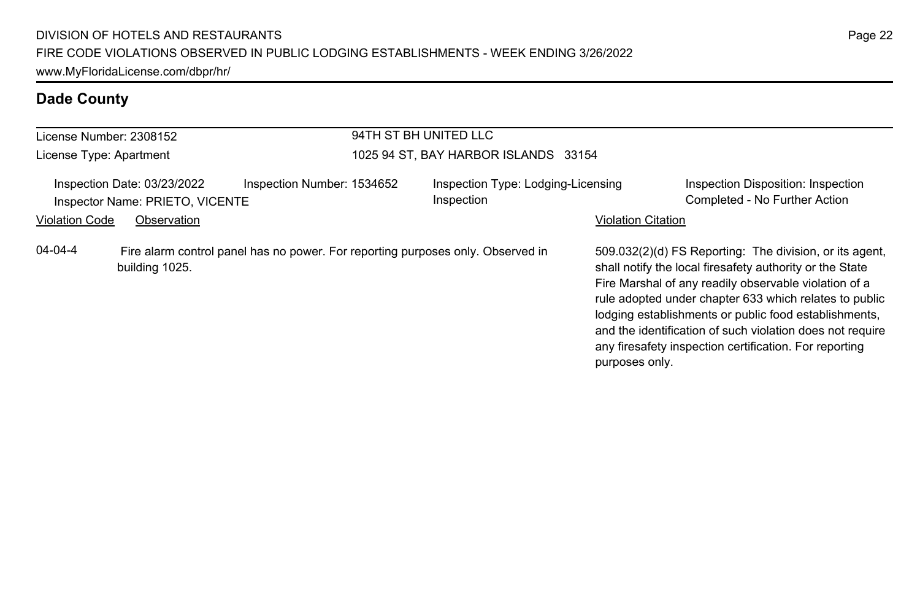|                                                                | License Number: 2308152 |                                                                                 | 94TH ST BH UNITED LLC<br>1025 94 ST, BAY HARBOR ISLANDS 33154 |                           |                                                                                                                                                                                                                                                                                                                                                                                                                        |  |  |
|----------------------------------------------------------------|-------------------------|---------------------------------------------------------------------------------|---------------------------------------------------------------|---------------------------|------------------------------------------------------------------------------------------------------------------------------------------------------------------------------------------------------------------------------------------------------------------------------------------------------------------------------------------------------------------------------------------------------------------------|--|--|
| License Type: Apartment                                        |                         |                                                                                 |                                                               |                           |                                                                                                                                                                                                                                                                                                                                                                                                                        |  |  |
| Inspection Date: 03/23/2022<br>Inspector Name: PRIETO, VICENTE |                         | Inspection Number: 1534652                                                      | Inspection Type: Lodging-Licensing<br>Inspection              |                           | Inspection Disposition: Inspection<br>Completed - No Further Action                                                                                                                                                                                                                                                                                                                                                    |  |  |
| <b>Violation Code</b>                                          | Observation             |                                                                                 |                                                               | <b>Violation Citation</b> |                                                                                                                                                                                                                                                                                                                                                                                                                        |  |  |
| 04-04-4                                                        | building 1025.          | Fire alarm control panel has no power. For reporting purposes only. Observed in |                                                               | purposes only.            | 509.032(2)(d) FS Reporting: The division, or its agent,<br>shall notify the local firesafety authority or the State<br>Fire Marshal of any readily observable violation of a<br>rule adopted under chapter 633 which relates to public<br>lodging establishments or public food establishments,<br>and the identification of such violation does not require<br>any firesafety inspection certification. For reporting |  |  |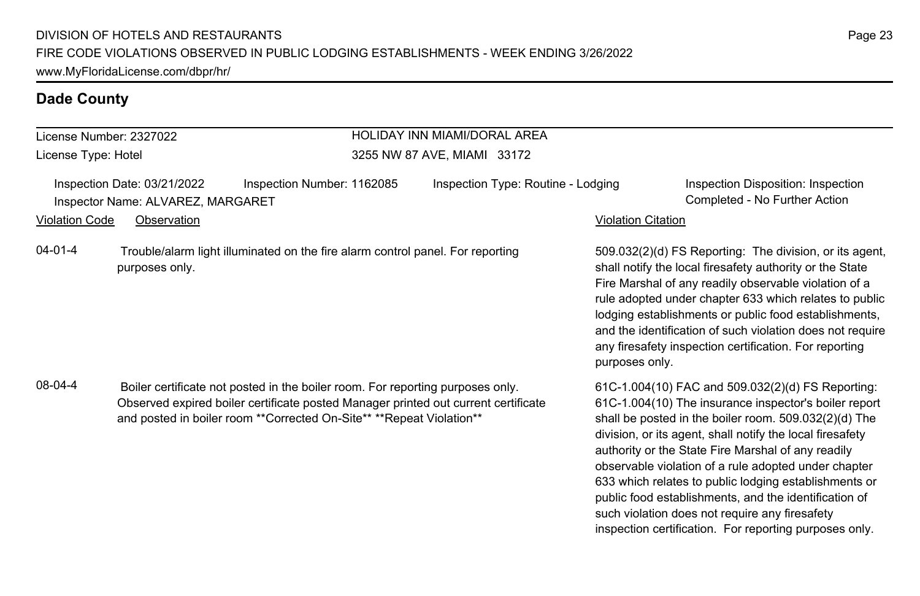# License Number: 2327022

License Type: Hotel

### HOLIDAY INN MIAMI/DORAL AREA 3255 NW 87 AVE, MIAMI 33172

Inspection Date: 03/21/2022 Inspection Number: 1162085 Inspection Type: Routine - Lodging Inspection Disposition: Inspection Inspector Name: ALVAREZ, MARGARET Completed - No Further Action

Violation Code Observation Violation Citation

04-01-4 Trouble/alarm light illuminated on the fire alarm control panel. For reporting purposes only.

08-04-4 Boiler certificate not posted in the boiler room. For reporting purposes only. Observed expired boiler certificate posted Manager printed out current certificate and posted in boiler room \*\*Corrected On-Site\*\* \*\*Repeat Violation\*\*

509.032(2)(d) FS Reporting: The division, or its agent, shall notify the local firesafety authority or the State Fire Marshal of any readily observable violation of a rule adopted under chapter 633 which relates to public lodging establishments or public food establishments, and the identification of such violation does not require any firesafety inspection certification. For reporting purposes only.

61C-1.004(10) FAC and 509.032(2)(d) FS Reporting: 61C-1.004(10) The insurance inspector's boiler report shall be posted in the boiler room. 509.032(2)(d) The division, or its agent, shall notify the local firesafety authority or the State Fire Marshal of any readily observable violation of a rule adopted under chapter 633 which relates to public lodging establishments or public food establishments, and the identification of such violation does not require any firesafety inspection certification. For reporting purposes only.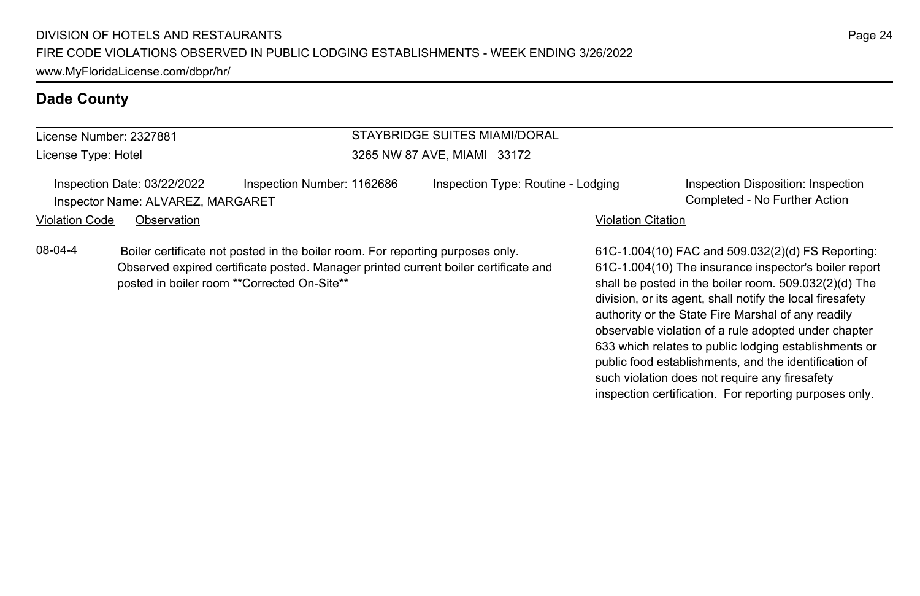| License Number: 2327881 |
|-------------------------|
| License Type: Hotel     |

# STAYBRIDGE SUITES MIAMI/DORAL

3265 NW 87 AVE, MIAMI 33172

Inspection Date: 03/22/2022 Inspection Number: 1162686 Inspection Type: Routine - Lodging Inspection Disposition: Inspection Inspector Name: ALVAREZ, MARGARET Completed - No Further Action

Violation Code Observation **Violation Code** Observation **Violation** Violation Citation Citation Citation Citation

08-04-4 Boiler certificate not posted in the boiler room. For reporting purposes only. Observed expired certificate posted. Manager printed current boiler certificate and posted in boiler room \*\*Corrected On-Site\*\*

61C-1.004(10) FAC and 509.032(2)(d) FS Reporting: 61C-1.004(10) The insurance inspector's boiler report shall be posted in the boiler room. 509.032(2)(d) The division, or its agent, shall notify the local firesafety authority or the State Fire Marshal of any readily observable violation of a rule adopted under chapter 633 which relates to public lodging establishments or public food establishments, and the identification of such violation does not require any firesafety inspection certification. For reporting purposes only.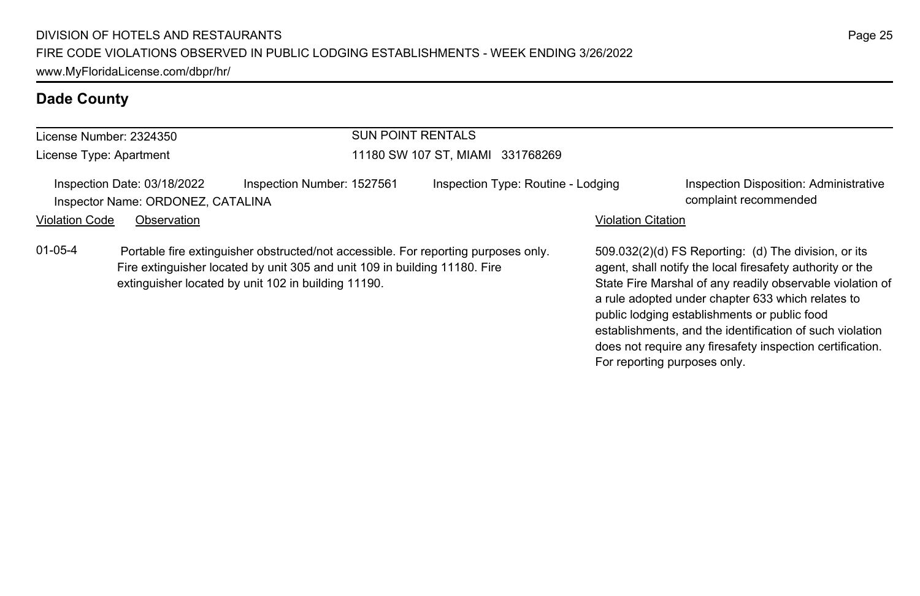| License Number: 2324350                                          |                                                                                                                                                                                                                         | <b>SUN POINT RENTALS</b><br>11180 SW 107 ST, MIAMI 331768269 |                                                                                                                                                                                                                                                                                     |  |  |  |
|------------------------------------------------------------------|-------------------------------------------------------------------------------------------------------------------------------------------------------------------------------------------------------------------------|--------------------------------------------------------------|-------------------------------------------------------------------------------------------------------------------------------------------------------------------------------------------------------------------------------------------------------------------------------------|--|--|--|
| License Type: Apartment                                          |                                                                                                                                                                                                                         |                                                              |                                                                                                                                                                                                                                                                                     |  |  |  |
| Inspection Date: 03/18/2022<br>Inspector Name: ORDONEZ, CATALINA | Inspection Number: 1527561                                                                                                                                                                                              | Inspection Type: Routine - Lodging                           | Inspection Disposition: Administrative<br>complaint recommended                                                                                                                                                                                                                     |  |  |  |
| <b>Violation Code</b><br>Observation                             |                                                                                                                                                                                                                         |                                                              | <b>Violation Citation</b>                                                                                                                                                                                                                                                           |  |  |  |
| $01 - 05 - 4$                                                    | Portable fire extinguisher obstructed/not accessible. For reporting purposes only.<br>Fire extinguisher located by unit 305 and unit 109 in building 11180. Fire<br>extinguisher located by unit 102 in building 11190. |                                                              | 509.032(2)(d) FS Reporting: (d) The division, or its<br>agent, shall notify the local firesafety authority or the<br>State Fire Marshal of any readily observable violation of<br>a rule adopted under chapter 633 which relates to<br>public lodging establishments or public food |  |  |  |

establishments, and the identification of such violation does not require any firesafety inspection certification.

For reporting purposes only.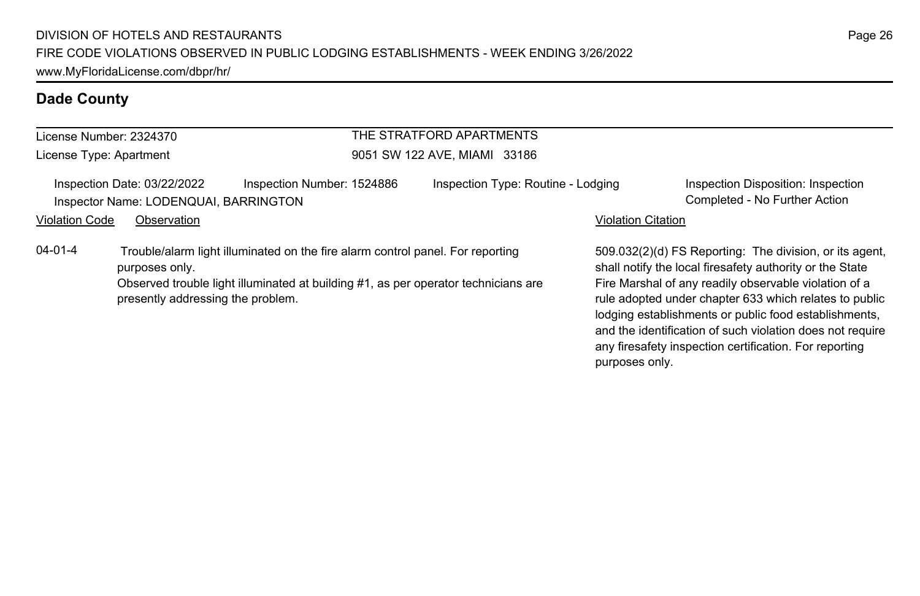| License Number: 2324370 |                                                                      |                                                                                                                                                                      | THE STRATFORD APARTMENTS           |                           |                                                                                                                                                                                                                                        |  |  |
|-------------------------|----------------------------------------------------------------------|----------------------------------------------------------------------------------------------------------------------------------------------------------------------|------------------------------------|---------------------------|----------------------------------------------------------------------------------------------------------------------------------------------------------------------------------------------------------------------------------------|--|--|
|                         | License Type: Apartment                                              |                                                                                                                                                                      | 9051 SW 122 AVE, MIAMI 33186       |                           |                                                                                                                                                                                                                                        |  |  |
|                         | Inspection Date: 03/22/2022<br>Inspector Name: LODENQUAI, BARRINGTON | Inspection Number: 1524886                                                                                                                                           | Inspection Type: Routine - Lodging |                           | Inspection Disposition: Inspection<br>Completed - No Further Action                                                                                                                                                                    |  |  |
| <b>Violation Code</b>   | Observation                                                          |                                                                                                                                                                      |                                    | <b>Violation Citation</b> |                                                                                                                                                                                                                                        |  |  |
| $04 - 01 - 4$           | purposes only.<br>presently addressing the problem.                  | Trouble/alarm light illuminated on the fire alarm control panel. For reporting<br>Observed trouble light illuminated at building #1, as per operator technicians are |                                    |                           | 509.032(2)(d) FS Reporting: The division, or its agent,<br>shall notify the local firesafety authority or the State<br>Fire Marshal of any readily observable violation of a<br>rule adopted under chapter 633 which relates to public |  |  |

lodging establishments or public food establishments, and the identification of such violation does not require any firesafety inspection certification. For reporting

purposes only.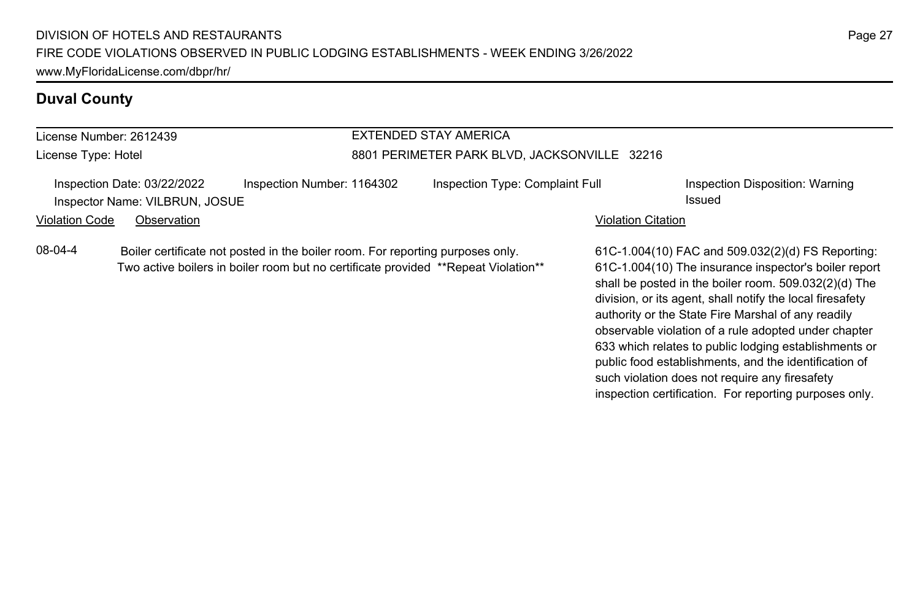### **Duval County**

### License Number: 2612439 License Type: Hotel EXTENDED STAY AMERICA 8801 PERIMETER PARK BLVD, JACKSONVILLE 32216 Inspection Date: 03/22/2022 Inspection Number: 1164302 Inspection Type: Complaint Full Inspection Disposition: Warning Inspector Name: VILBRUN, JOSUE **Inspector Name: VILBRUN, JOSUE** Violation Code Observation **Violation Code** Observation **Violation** Violation Citation Citation Citation Citation 08-04-4 Boiler certificate not posted in the boiler room. For reporting purposes only. Two active boilers in boiler room but no certificate provided \*\*Repeat Violation\*\*

61C-1.004(10) FAC and 509.032(2)(d) FS Reporting: 61C-1.004(10) The insurance inspector's boiler report shall be posted in the boiler room. 509.032(2)(d) The division, or its agent, shall notify the local firesafety authority or the State Fire Marshal of any readily observable violation of a rule adopted under chapter 633 which relates to public lodging establishments or public food establishments, and the identification of such violation does not require any firesafety inspection certification. For reporting purposes only.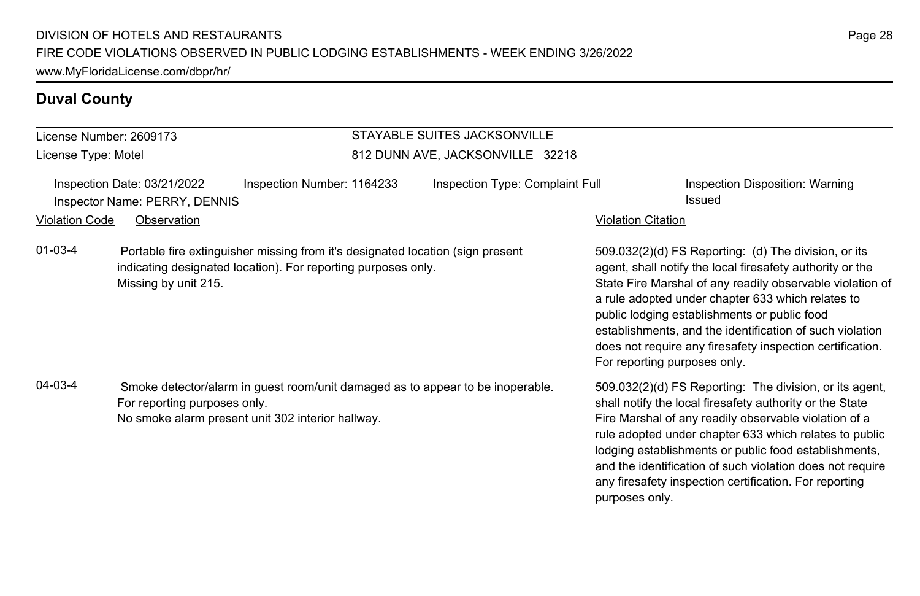### **Duval County**

# License Number: 2609173

Missing by unit 215.

License Type: Motel

### STAYABLE SUITES JACKSONVILLE 812 DUNN AVE, JACKSONVILLE 32218

|                | Inspection Date: 03/21/2022   | Inspection Number: 1164233                                                                                                                      | Inspection Type: Complaint Full |                           | Inspection Disposition: Warning                                                                                   |
|----------------|-------------------------------|-------------------------------------------------------------------------------------------------------------------------------------------------|---------------------------------|---------------------------|-------------------------------------------------------------------------------------------------------------------|
|                | Inspector Name: PERRY, DENNIS |                                                                                                                                                 |                                 |                           | Issued                                                                                                            |
| Violation Code | Observation                   |                                                                                                                                                 |                                 | <b>Violation Citation</b> |                                                                                                                   |
| 01-03-4        |                               | Portable fire extinguisher missing from it's designated location (sign present<br>indicating designated location). For reporting purposes only. |                                 |                           | 509.032(2)(d) FS Reporting: (d) The division, or its<br>agent, shall notify the local firesafety authority or the |

04-03-4 Smoke detector/alarm in guest room/unit damaged as to appear to be inoperable. For reporting purposes only. No smoke alarm present unit 302 interior hallway.

agent, shall notify the local firesafety authority or the State Fire Marshal of any readily observable violation of a rule adopted under chapter 633 which relates to public lodging establishments or public food establishments, and the identification of such violation does not require any firesafety inspection certification. For reporting purposes only.

509.032(2)(d) FS Reporting: The division, or its agent, shall notify the local firesafety authority or the State Fire Marshal of any readily observable violation of a rule adopted under chapter 633 which relates to public lodging establishments or public food establishments, and the identification of such violation does not require any firesafety inspection certification. For reporting purposes only.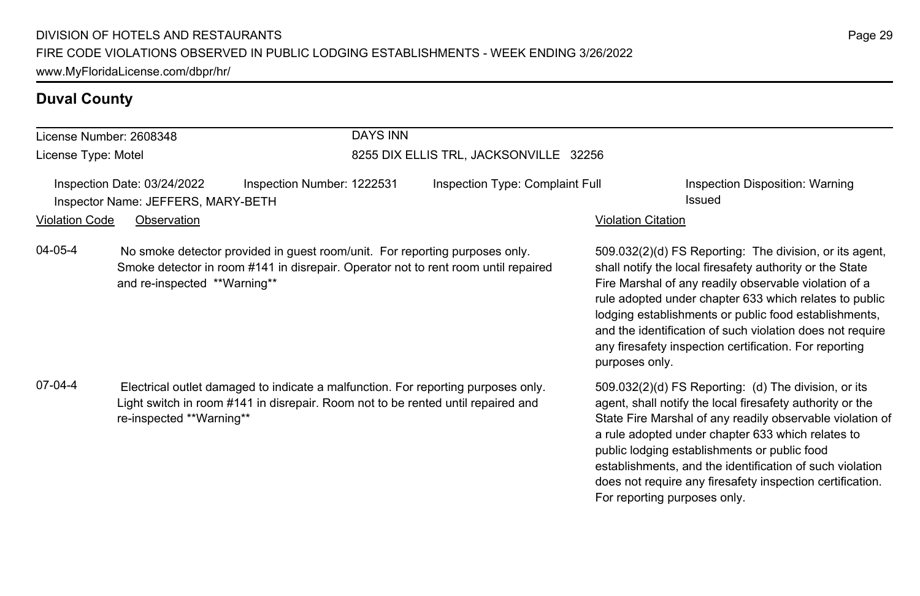### **Duval County**

### DAYS INN

License Type: Motel

License Number: 2608348

# 8255 DIX ELLIS TRL, JACKSONVILLE 32256

Inspection Date: 03/24/2022 Inspection Number: 1222531 Inspection Type: Complaint Full Inspection Disposition: Warning Inspector Name: JEFFERS, MARY-BETH **Issued** 

Violation Code Observation **Violation Code** Observation **Violation** Violation Citation Citation Citation Citation

04-05-4 No smoke detector provided in guest room/unit. For reporting purposes only. Smoke detector in room #141 in disrepair. Operator not to rent room until repaired and re-inspected \*\*Warning\*\*

07-04-4 Electrical outlet damaged to indicate a malfunction. For reporting purposes only. Light switch in room #141 in disrepair. Room not to be rented until repaired and re-inspected \*\*Warning\*\*

509.032(2)(d) FS Reporting: The division, or its agent, shall notify the local firesafety authority or the State Fire Marshal of any readily observable violation of a rule adopted under chapter 633 which relates to public lodging establishments or public food establishments, and the identification of such violation does not require any firesafety inspection certification. For reporting purposes only.

509.032(2)(d) FS Reporting: (d) The division, or its agent, shall notify the local firesafety authority or the State Fire Marshal of any readily observable violation of a rule adopted under chapter 633 which relates to public lodging establishments or public food establishments, and the identification of such violation does not require any firesafety inspection certification. For reporting purposes only.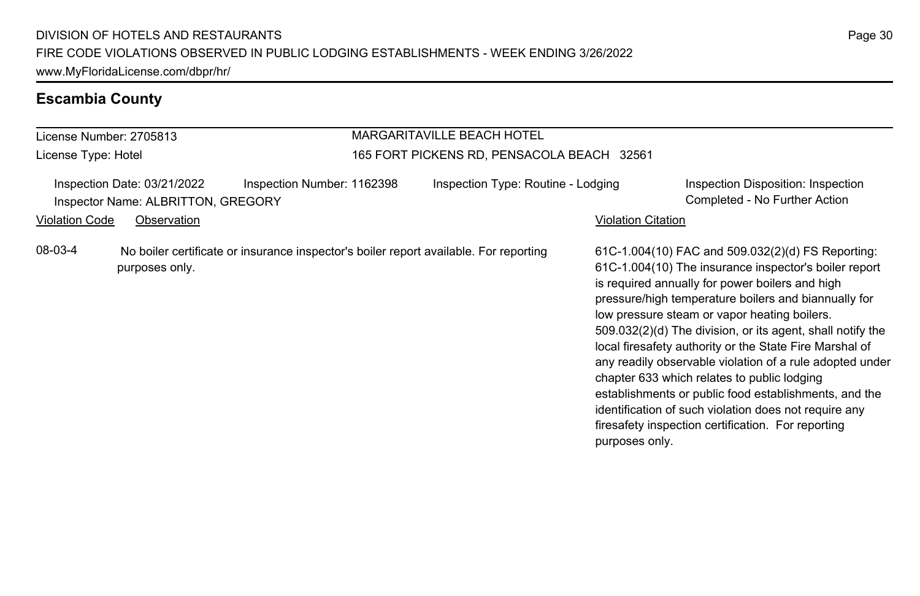# **Escambia County**

| License Number: 2705813 |                                                                   |                            | <b>MARGARITAVILLE BEACH HOTEL</b> |                                                                                       |                           |                                                                                                                                                                                                                                                                                                                                                                                                                                                                                                                                                                                                                                                                                   |
|-------------------------|-------------------------------------------------------------------|----------------------------|-----------------------------------|---------------------------------------------------------------------------------------|---------------------------|-----------------------------------------------------------------------------------------------------------------------------------------------------------------------------------------------------------------------------------------------------------------------------------------------------------------------------------------------------------------------------------------------------------------------------------------------------------------------------------------------------------------------------------------------------------------------------------------------------------------------------------------------------------------------------------|
| License Type: Hotel     |                                                                   |                            |                                   | 165 FORT PICKENS RD, PENSACOLA BEACH 32561                                            |                           |                                                                                                                                                                                                                                                                                                                                                                                                                                                                                                                                                                                                                                                                                   |
| <b>Violation Code</b>   | Inspection Date: 03/21/2022<br>Inspector Name: ALBRITTON, GREGORY | Inspection Number: 1162398 |                                   | Inspection Type: Routine - Lodging                                                    |                           | Inspection Disposition: Inspection<br>Completed - No Further Action                                                                                                                                                                                                                                                                                                                                                                                                                                                                                                                                                                                                               |
|                         | Observation                                                       |                            |                                   |                                                                                       | <b>Violation Citation</b> |                                                                                                                                                                                                                                                                                                                                                                                                                                                                                                                                                                                                                                                                                   |
| 08-03-4                 | purposes only.                                                    |                            |                                   | No boiler certificate or insurance inspector's boiler report available. For reporting | purposes only.            | 61C-1.004(10) FAC and 509.032(2)(d) FS Reporting:<br>61C-1.004(10) The insurance inspector's boiler report<br>is required annually for power boilers and high<br>pressure/high temperature boilers and biannually for<br>low pressure steam or vapor heating boilers.<br>509.032(2)(d) The division, or its agent, shall notify the<br>local firesafety authority or the State Fire Marshal of<br>any readily observable violation of a rule adopted under<br>chapter 633 which relates to public lodging<br>establishments or public food establishments, and the<br>identification of such violation does not require any<br>firesafety inspection certification. For reporting |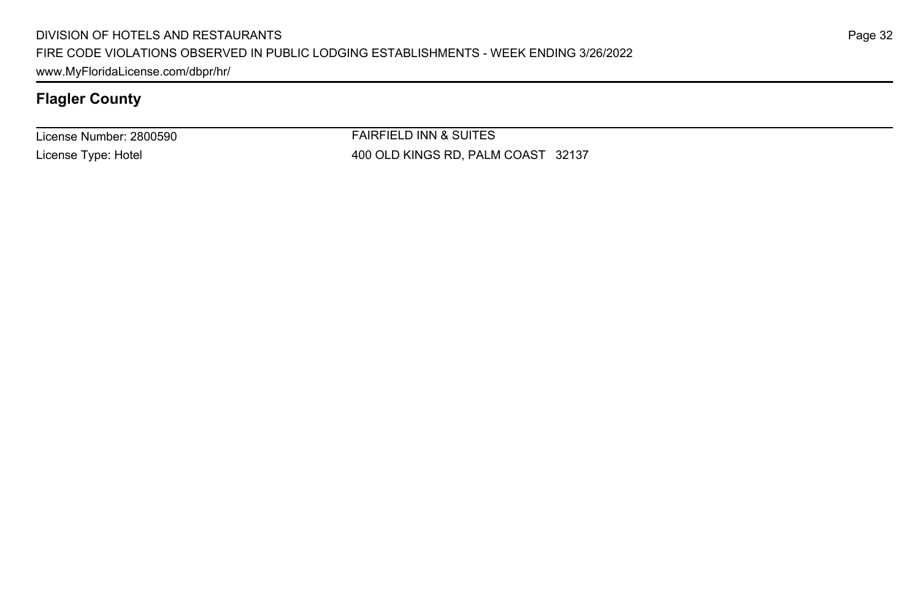License Number: 2800590 License Type: Hotel

FAIRFIELD INN & SUITES 400 OLD KINGS RD, PALM COAST 32137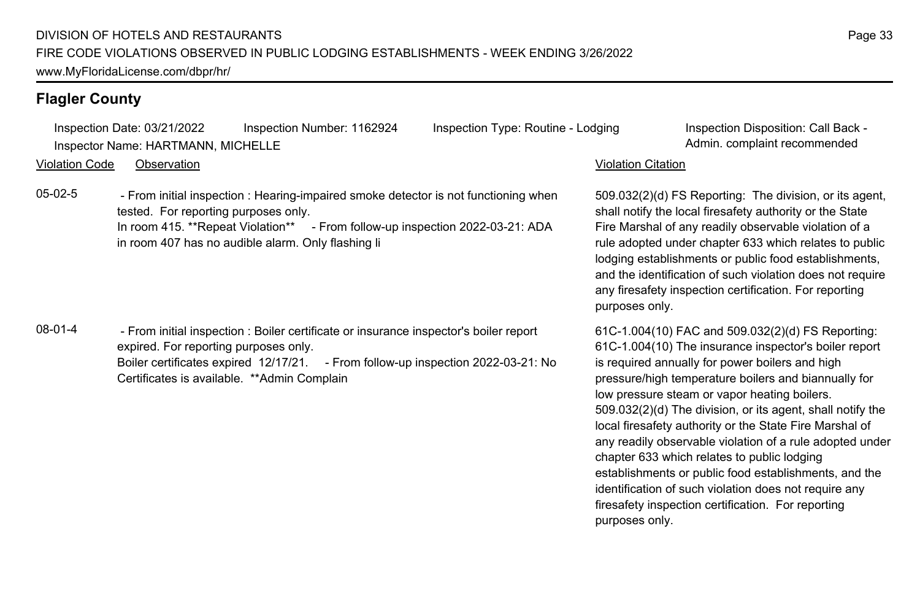Inspection Date: 03/21/2022 Inspection Number: 1162924 Inspection Type: Routine - Lodging Inspection Disposition: Call Back -Inspector Name: HARTMANN, MICHELLE **Admin.** Complaint recommended

Violation Code Observation Violation Citation

05-02-5 - From initial inspection : Hearing-impaired smoke detector is not functioning when tested. For reporting purposes only. In room 415. \*\*Repeat Violation\*\* - From follow-up inspection 2022-03-21: ADA in room 407 has no audible alarm. Only flashing li

08-01-4 - From initial inspection : Boiler certificate or insurance inspector's boiler report expired. For reporting purposes only. Boiler certificates expired 12/17/21. - From follow-up inspection 2022-03-21: No Certificates is available. \*\*Admin Complain

509.032(2)(d) FS Reporting: The division, or its agent, shall notify the local firesafety authority or the State Fire Marshal of any readily observable violation of a rule adopted under chapter 633 which relates to public lodging establishments or public food establishments, and the identification of such violation does not require any firesafety inspection certification. For reporting purposes only.

61C-1.004(10) FAC and 509.032(2)(d) FS Reporting: 61C-1.004(10) The insurance inspector's boiler report is required annually for power boilers and high pressure/high temperature boilers and biannually for low pressure steam or vapor heating boilers. 509.032(2)(d) The division, or its agent, shall notify the local firesafety authority or the State Fire Marshal of any readily observable violation of a rule adopted under chapter 633 which relates to public lodging establishments or public food establishments, and the identification of such violation does not require any firesafety inspection certification. For reporting purposes only.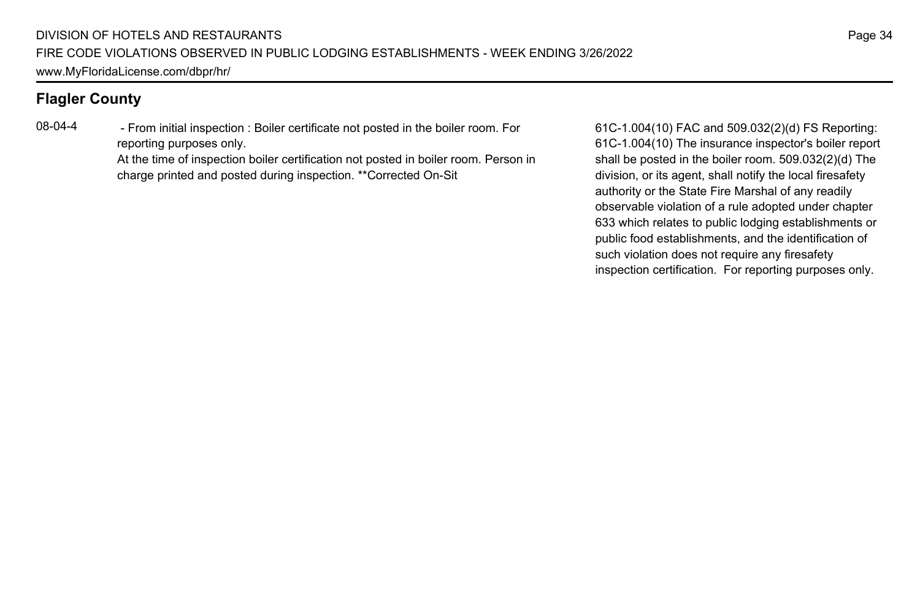08-04-4 - From initial inspection : Boiler certificate not posted in the boiler room. For reporting purposes only.

> At the time of inspection boiler certification not posted in boiler room. Person in charge printed and posted during inspection. \*\*Corrected On-Sit

61C-1.004(10) FAC and 509.032(2)(d) FS Reporting: 61C-1.004(10) The insurance inspector's boiler report shall be posted in the boiler room. 509.032(2)(d) The division, or its agent, shall notify the local firesafety authority or the State Fire Marshal of any readily observable violation of a rule adopted under chapter 633 which relates to public lodging establishments or public food establishments, and the identification of such violation does not require any firesafety inspection certification. For reporting purposes only.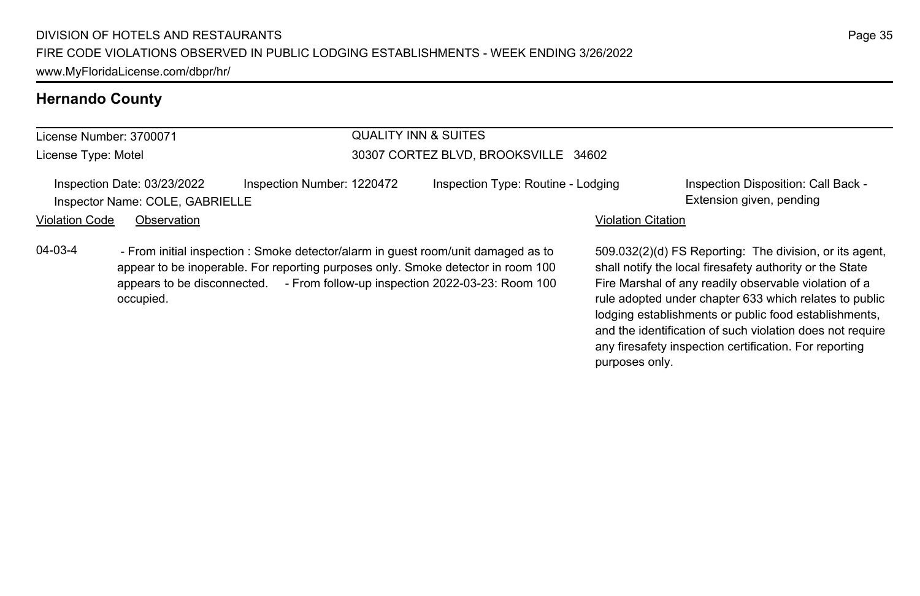appear to be inoperable. For reporting purposes only. Smoke detector in room 100 appears to be disconnected. - From follow-up inspection 2022-03-23: Room 100

04-03-4 - From initial inspection : Smoke detector/alarm in guest room/unit damaged as to

### **Hernando County**

# License Number: 3700071

occupied.

License Type: Motel

# QUALITY INN & SUITES

### 30307 CORTEZ BLVD, BROOKSVILLE 34602

Inspection Date: 03/23/2022 Inspection Number: 1220472 Inspection Type: Routine - Lodging Inspection Disposition: Call Back -Inspector Name: COLE, GABRIELLE **Extension given, pending** 

### Violation Code Observation **Violation Code** Observation **Violation** Violation Citation Citation Citation Citation

509.032(2)(d) FS Reporting: The division, or its agent, shall notify the local firesafety authority or the State Fire Marshal of any readily observable violation of a rule adopted under chapter 633 which relates to public lodging establishments or public food establishments, and the identification of such violation does not require any firesafety inspection certification. For reporting purposes only.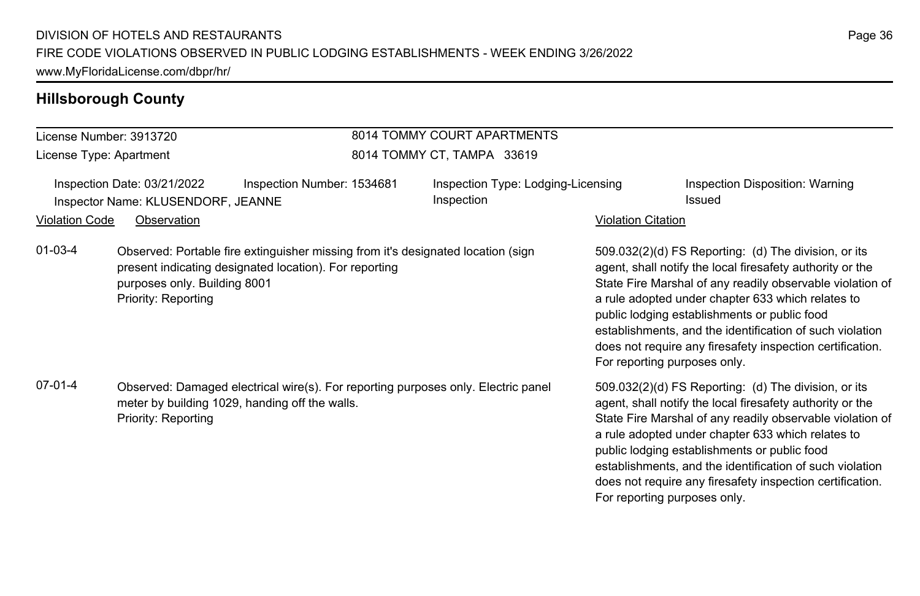# **Hillsborough County**

|                         |                                                                                                                                                            |                                                                                                                                            | 8014 TOMMY COURT APARTMENTS                      |                                                                                                                                                                                                                                                                                                                                                                                                                                                                              |                                                                                                                                                                                                                                                                                                                                                                                                              |
|-------------------------|------------------------------------------------------------------------------------------------------------------------------------------------------------|--------------------------------------------------------------------------------------------------------------------------------------------|--------------------------------------------------|------------------------------------------------------------------------------------------------------------------------------------------------------------------------------------------------------------------------------------------------------------------------------------------------------------------------------------------------------------------------------------------------------------------------------------------------------------------------------|--------------------------------------------------------------------------------------------------------------------------------------------------------------------------------------------------------------------------------------------------------------------------------------------------------------------------------------------------------------------------------------------------------------|
| License Number: 3913720 |                                                                                                                                                            |                                                                                                                                            |                                                  |                                                                                                                                                                                                                                                                                                                                                                                                                                                                              |                                                                                                                                                                                                                                                                                                                                                                                                              |
| License Type: Apartment |                                                                                                                                                            |                                                                                                                                            | 8014 TOMMY CT, TAMPA 33619                       |                                                                                                                                                                                                                                                                                                                                                                                                                                                                              |                                                                                                                                                                                                                                                                                                                                                                                                              |
|                         | Inspection Date: 03/21/2022<br>Inspector Name: KLUSENDORF, JEANNE                                                                                          | Inspection Number: 1534681                                                                                                                 | Inspection Type: Lodging-Licensing<br>Inspection |                                                                                                                                                                                                                                                                                                                                                                                                                                                                              | Inspection Disposition: Warning<br>Issued                                                                                                                                                                                                                                                                                                                                                                    |
| Violation Code          | Observation                                                                                                                                                |                                                                                                                                            |                                                  | <b>Violation Citation</b>                                                                                                                                                                                                                                                                                                                                                                                                                                                    |                                                                                                                                                                                                                                                                                                                                                                                                              |
| 01-03-4                 | purposes only. Building 8001<br>Priority: Reporting                                                                                                        | Observed: Portable fire extinguisher missing from it's designated location (sign<br>present indicating designated location). For reporting |                                                  |                                                                                                                                                                                                                                                                                                                                                                                                                                                                              | 509.032(2)(d) FS Reporting: (d) The division, or its<br>agent, shall notify the local firesafety authority or the<br>State Fire Marshal of any readily observable violation of<br>a rule adopted under chapter 633 which relates to<br>public lodging establishments or public food<br>establishments, and the identification of such violation<br>does not require any firesafety inspection certification. |
| 07-01-4                 | Observed: Damaged electrical wire(s). For reporting purposes only. Electric panel<br>meter by building 1029, handing off the walls.<br>Priority: Reporting |                                                                                                                                            |                                                  | For reporting purposes only.<br>509.032(2)(d) FS Reporting: (d) The division, or its<br>agent, shall notify the local firesafety authority or the<br>State Fire Marshal of any readily observable violation of<br>a rule adopted under chapter 633 which relates to<br>public lodging establishments or public food<br>establishments, and the identification of such violation<br>does not require any firesafety inspection certification.<br>For reporting purposes only. |                                                                                                                                                                                                                                                                                                                                                                                                              |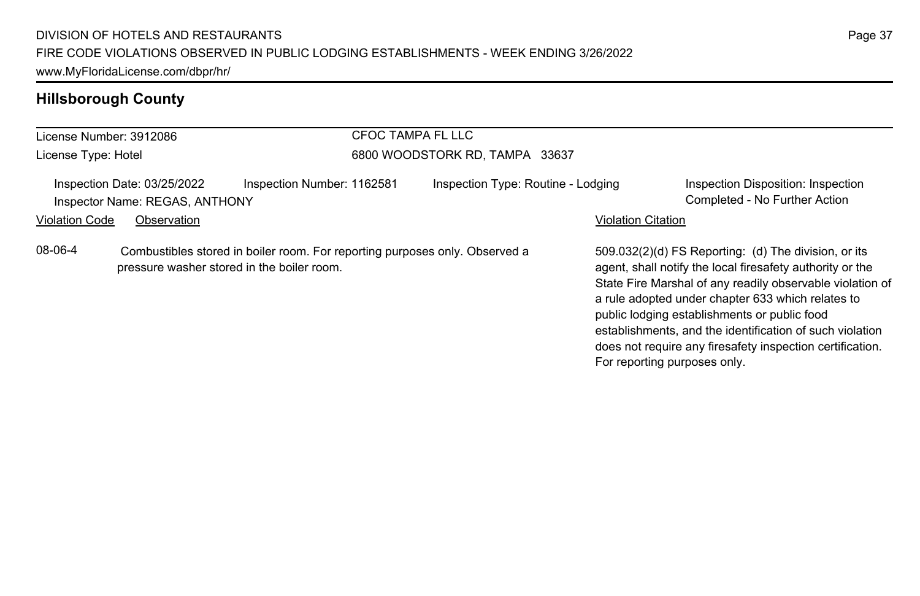# **Hillsborough County**

| License Number: 3912086                               |                                                               |                            | CFOC TAMPA FL LLC                                                           |                                    |                                                                                                                                                                                                                                                                                                                                                                                                              |                                                                     |  |
|-------------------------------------------------------|---------------------------------------------------------------|----------------------------|-----------------------------------------------------------------------------|------------------------------------|--------------------------------------------------------------------------------------------------------------------------------------------------------------------------------------------------------------------------------------------------------------------------------------------------------------------------------------------------------------------------------------------------------------|---------------------------------------------------------------------|--|
| License Type: Hotel                                   |                                                               |                            | 6800 WOODSTORK RD. TAMPA 33637                                              |                                    |                                                                                                                                                                                                                                                                                                                                                                                                              |                                                                     |  |
|                                                       | Inspection Date: 03/25/2022<br>Inspector Name: REGAS, ANTHONY | Inspection Number: 1162581 |                                                                             | Inspection Type: Routine - Lodging |                                                                                                                                                                                                                                                                                                                                                                                                              | Inspection Disposition: Inspection<br>Completed - No Further Action |  |
| <b>Violation Code</b>                                 | Observation                                                   |                            |                                                                             |                                    | <b>Violation Citation</b>                                                                                                                                                                                                                                                                                                                                                                                    |                                                                     |  |
| 08-06-4<br>pressure washer stored in the boiler room. |                                                               |                            | Combustibles stored in boiler room. For reporting purposes only. Observed a |                                    | 509.032(2)(d) FS Reporting: (d) The division, or its<br>agent, shall notify the local firesafety authority or the<br>State Fire Marshal of any readily observable violation of<br>a rule adopted under chapter 633 which relates to<br>public lodging establishments or public food<br>establishments, and the identification of such violation<br>does not require any firesafety inspection certification. |                                                                     |  |

For reporting purposes only.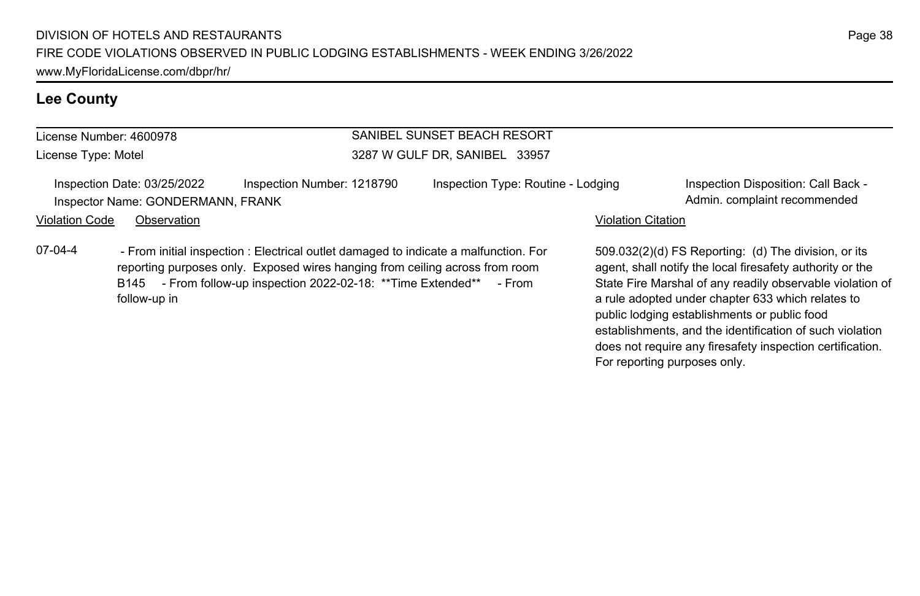### **Lee County**

# License Number: 4600978

License Type: Motel

### SANIBEL SUNSET BEACH RESORT 3287 W GULF DR, SANIBEL 33957

Inspection Date: 03/25/2022 Inspection Number: 1218790 Inspection Type: Routine - Lodging Inspection Disposition: Call Back -Inspector Name: GONDERMANN, FRANK And The Commended Construction of the Commended Admin. complaint recommended

### Violation Code Observation **Violation Code Observation** Violation Citation Citation Citation Citation Citation Citation Citation Citation Citation Citation Citation Citation Citation Citation Citation Citation Citation Cit

07-04-4 - From initial inspection : Electrical outlet damaged to indicate a malfunction. For reporting purposes only. Exposed wires hanging from ceiling across from room B145 - From follow-up inspection 2022-02-18: \*\* Time Extended\*\* - From follow-up in

509.032(2)(d) FS Reporting: (d) The division, or its agent, shall notify the local firesafety authority or the State Fire Marshal of any readily observable violation of a rule adopted under chapter 633 which relates to public lodging establishments or public food establishments, and the identification of such violation does not require any firesafety inspection certification. For reporting purposes only.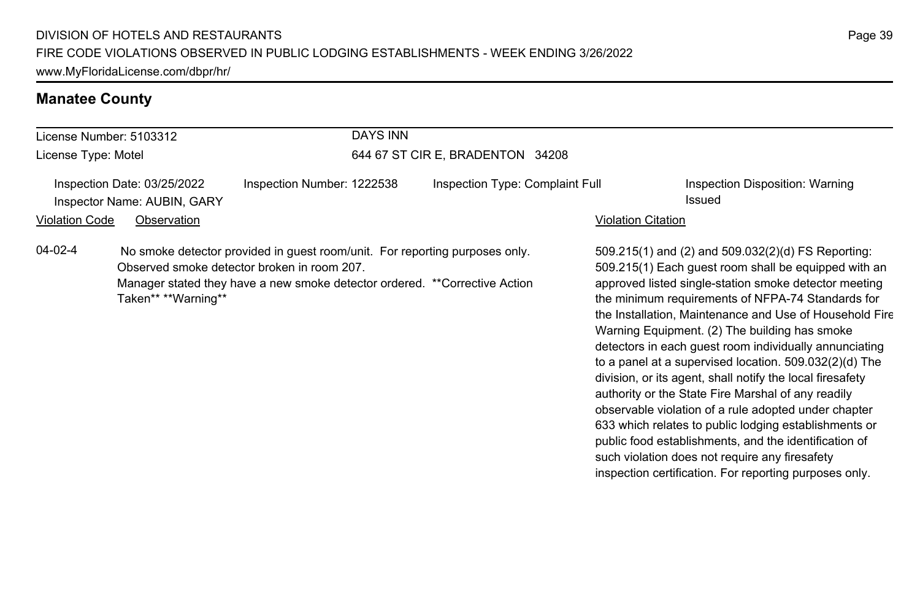### **Manatee County**

### License Number: 5103312 License Type: Motel DAYS INN 644 67 ST CIR E, BRADENTON 34208 Inspection Date: 03/25/2022 Inspection Number: 1222538 Inspection Type: Complaint Full Inspection Disposition: Warning **Inspector Name: AUBIN, GARY Issued** Violation Code Observation **Violation Code** Observation **Violation** Violation Citation Citation Citation Citation 509.215(1) and (2) and 509.032(2)(d) FS Reporting: 509.215(1) Each guest room shall be equipped with an approved listed single-station smoke detector meeting the minimum requirements of NFPA-74 Standards for the Installation, Maintenance and Use of Household Fire Warning Equipment. (2) The building has smoke detectors in each guest room individually annunciating to a panel at a supervised location. 509.032(2)(d) The division, or its agent, shall notify the local firesafety 04-02-4 No smoke detector provided in guest room/unit. For reporting purposes only. Observed smoke detector broken in room 207. Manager stated they have a new smoke detector ordered. \*\*Corrective Action Taken\*\* \*\*Warning\*\*

authority or the State Fire Marshal of any readily observable violation of a rule adopted under chapter 633 which relates to public lodging establishments or public food establishments, and the identification of such violation does not require any firesafety inspection certification. For reporting purposes only.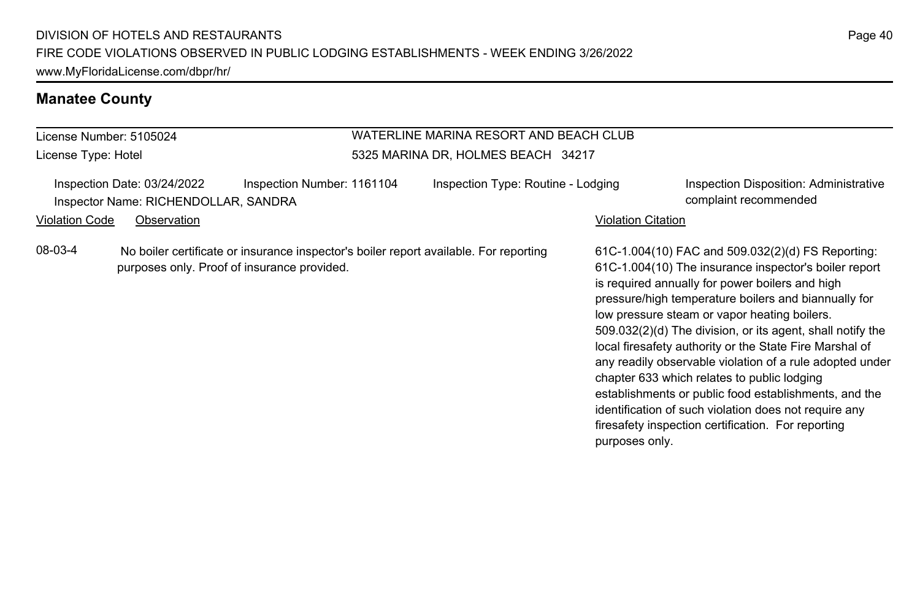### **Manatee County**

### License Number: 5105024 License Type: Hotel WATERLINE MARINA RESORT AND BEACH CLUB 5325 MARINA DR, HOLMES BEACH 34217 Inspection Date: 03/24/2022 Inspection Number: 1161104 Inspection Type: Routine - Lodging Inspection Disposition: Administrative Inspector Name: RICHENDOLLAR, SANDRA complaint recommended Violation Code Observation **Violation Code** Observation **Violation** Violation Citation Citation Citation Citation 61C-1.004(10) FAC and 509.032(2)(d) FS Reporting: 61C-1.004(10) The insurance inspector's boiler report is required annually for power boilers and high pressure/high temperature boilers and biannually for low pressure steam or vapor heating boilers. 509.032(2)(d) The division, or its agent, shall notify the local firesafety authority or the State Fire Marshal of any readily observable violation of a rule adopted under chapter 633 which relates to public lodging establishments or public food establishments, and the identification of such violation does not require any firesafety inspection certification. For reporting purposes only. 08-03-4 No boiler certificate or insurance inspector's boiler report available. For reporting purposes only. Proof of insurance provided.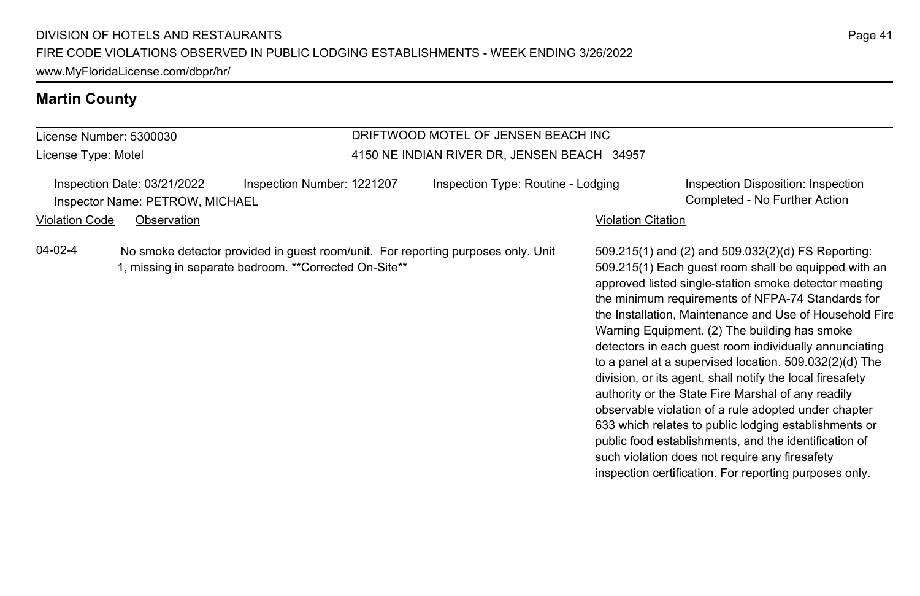# **Martin County**

License Number: 5300030 License Type: Motel

### DRIFTWOOD MOTEL OF JENSEN BEACH INC 4150 NE INDIAN RIVER DR, JENSEN BEACH 34957

|                       | Inspection Date: 03/21/2022     | Inspection Number: 1221207                                                                                                                | Inspection Type: Routine - Lodging |                           | Inspection Disposition: Inspection                                                                                                                                                                                                                                                                                                                                                                                                                                                                                                                                                                                                                                                                                                                                                                                                                                  |
|-----------------------|---------------------------------|-------------------------------------------------------------------------------------------------------------------------------------------|------------------------------------|---------------------------|---------------------------------------------------------------------------------------------------------------------------------------------------------------------------------------------------------------------------------------------------------------------------------------------------------------------------------------------------------------------------------------------------------------------------------------------------------------------------------------------------------------------------------------------------------------------------------------------------------------------------------------------------------------------------------------------------------------------------------------------------------------------------------------------------------------------------------------------------------------------|
|                       | Inspector Name: PETROW, MICHAEL |                                                                                                                                           |                                    |                           | Completed - No Further Action                                                                                                                                                                                                                                                                                                                                                                                                                                                                                                                                                                                                                                                                                                                                                                                                                                       |
| <b>Violation Code</b> | Observation                     |                                                                                                                                           |                                    | <b>Violation Citation</b> |                                                                                                                                                                                                                                                                                                                                                                                                                                                                                                                                                                                                                                                                                                                                                                                                                                                                     |
| 04-02-4               |                                 | No smoke detector provided in guest room/unit. For reporting purposes only. Unit<br>1, missing in separate bedroom. **Corrected On-Site** |                                    |                           | 509.215(1) and (2) and 509.032(2)(d) FS Reporting:<br>509.215(1) Each guest room shall be equipped with an<br>approved listed single-station smoke detector meeting<br>the minimum requirements of NFPA-74 Standards for<br>the Installation, Maintenance and Use of Household Fire<br>Warning Equipment. (2) The building has smoke<br>detectors in each quest room individually annunciating<br>to a panel at a supervised location. $509.032(2)(d)$ The<br>division, or its agent, shall notify the local firesafety<br>authority or the State Fire Marshal of any readily<br>observable violation of a rule adopted under chapter<br>633 which relates to public lodging establishments or<br>public food establishments, and the identification of<br>such violation does not require any firesafety<br>inspection certification. For reporting purposes only. |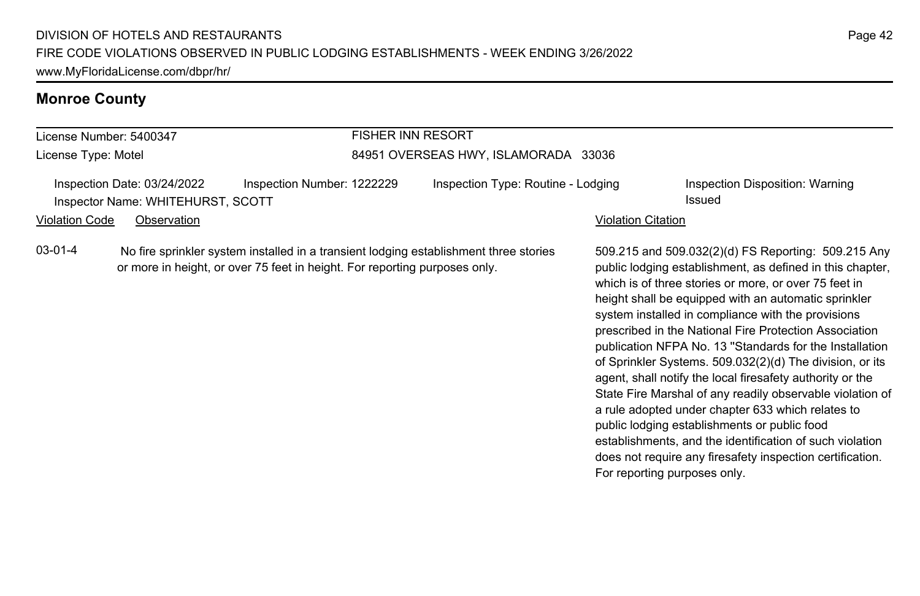# **Monroe County**

| License Number: 5400347                                          |                                                                                                                                                                                              |                            | <b>FISHER INN RESORT</b>             |                                                                                                                                                                                                                                                                                                                                                                                                                                                                                                                                                                                                                                                                                                                                                                     |                           |                                           |  |
|------------------------------------------------------------------|----------------------------------------------------------------------------------------------------------------------------------------------------------------------------------------------|----------------------------|--------------------------------------|---------------------------------------------------------------------------------------------------------------------------------------------------------------------------------------------------------------------------------------------------------------------------------------------------------------------------------------------------------------------------------------------------------------------------------------------------------------------------------------------------------------------------------------------------------------------------------------------------------------------------------------------------------------------------------------------------------------------------------------------------------------------|---------------------------|-------------------------------------------|--|
| License Type: Motel                                              |                                                                                                                                                                                              |                            | 84951 OVERSEAS HWY, ISLAMORADA 33036 |                                                                                                                                                                                                                                                                                                                                                                                                                                                                                                                                                                                                                                                                                                                                                                     |                           |                                           |  |
| Inspection Date: 03/24/2022<br>Inspector Name: WHITEHURST, SCOTT |                                                                                                                                                                                              | Inspection Number: 1222229 | Inspection Type: Routine - Lodging   |                                                                                                                                                                                                                                                                                                                                                                                                                                                                                                                                                                                                                                                                                                                                                                     |                           | Inspection Disposition: Warning<br>Issued |  |
|                                                                  | Observation                                                                                                                                                                                  |                            |                                      |                                                                                                                                                                                                                                                                                                                                                                                                                                                                                                                                                                                                                                                                                                                                                                     | <b>Violation Citation</b> |                                           |  |
| $03-01-4$                                                        | <b>Violation Code</b><br>No fire sprinkler system installed in a transient lodging establishment three stories<br>or more in height, or over 75 feet in height. For reporting purposes only. |                            |                                      | 509.215 and 509.032(2)(d) FS Reporting: 509.215 Any<br>public lodging establishment, as defined in this chapter,<br>which is of three stories or more, or over 75 feet in<br>height shall be equipped with an automatic sprinkler<br>system installed in compliance with the provisions<br>prescribed in the National Fire Protection Association<br>publication NFPA No. 13 "Standards for the Installation<br>of Sprinkler Systems. 509.032(2)(d) The division, or its<br>agent, shall notify the local firesafety authority or the<br>State Fire Marshal of any readily observable violation of<br>a rule adopted under chapter 633 which relates to<br>public lodging establishments or public food<br>establishments, and the identification of such violation |                           |                                           |  |

For reporting purposes only.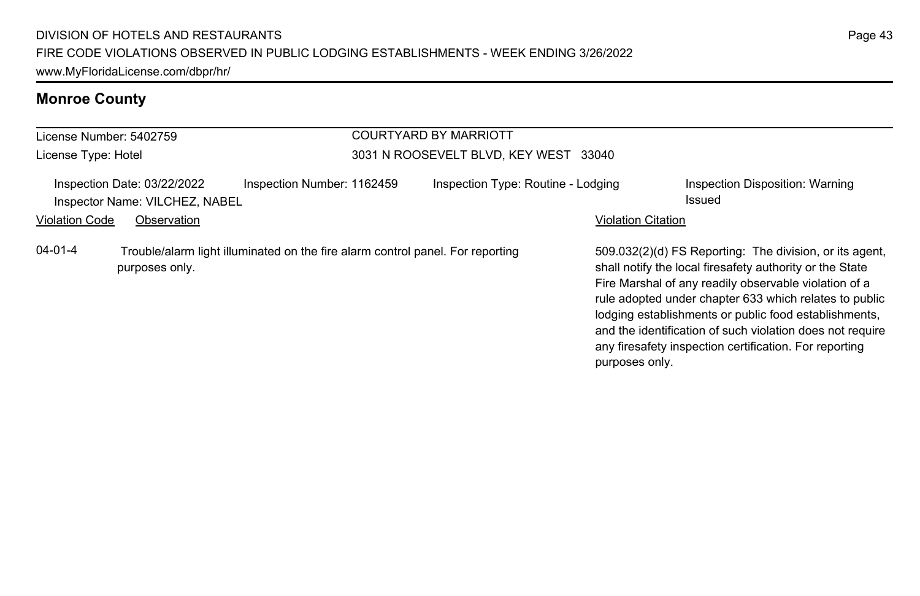# **Monroe County**

|                       | License Number: 5402759                                       |                                                                                | <b>COURTYARD BY MARRIOTT</b>          |                           |                                                                                                                                                                                                                                                                                                                                                                                                                        |
|-----------------------|---------------------------------------------------------------|--------------------------------------------------------------------------------|---------------------------------------|---------------------------|------------------------------------------------------------------------------------------------------------------------------------------------------------------------------------------------------------------------------------------------------------------------------------------------------------------------------------------------------------------------------------------------------------------------|
| License Type: Hotel   |                                                               |                                                                                | 3031 N ROOSEVELT BLVD, KEY WEST 33040 |                           |                                                                                                                                                                                                                                                                                                                                                                                                                        |
|                       | Inspection Date: 03/22/2022<br>Inspector Name: VILCHEZ, NABEL | Inspection Number: 1162459                                                     | Inspection Type: Routine - Lodging    |                           | Inspection Disposition: Warning<br>Issued                                                                                                                                                                                                                                                                                                                                                                              |
| <b>Violation Code</b> | Observation                                                   |                                                                                |                                       | <b>Violation Citation</b> |                                                                                                                                                                                                                                                                                                                                                                                                                        |
| $04 - 01 - 4$         | purposes only.                                                | Trouble/alarm light illuminated on the fire alarm control panel. For reporting |                                       | purposes only.            | 509.032(2)(d) FS Reporting: The division, or its agent,<br>shall notify the local firesafety authority or the State<br>Fire Marshal of any readily observable violation of a<br>rule adopted under chapter 633 which relates to public<br>lodging establishments or public food establishments,<br>and the identification of such violation does not require<br>any firesafety inspection certification. For reporting |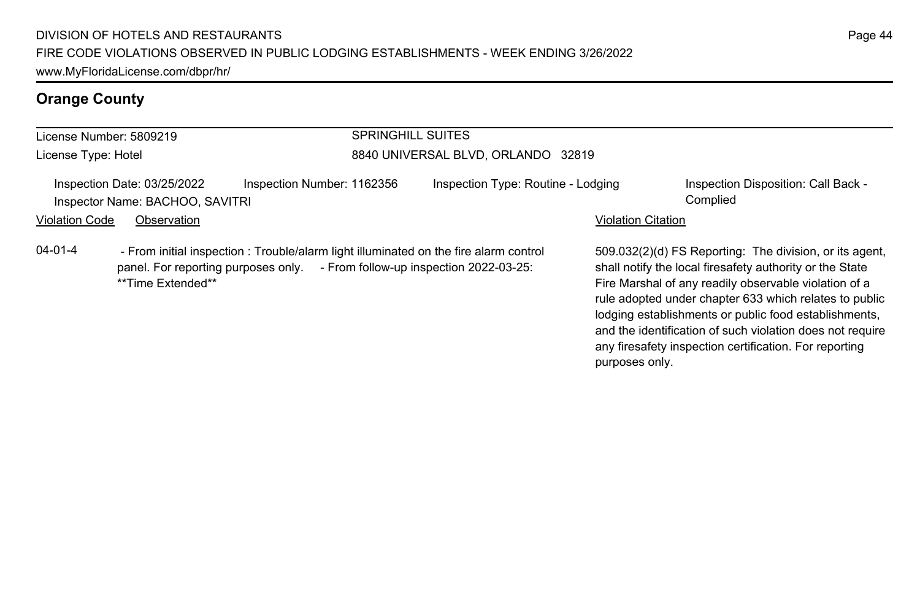# **Orange County**

|                       | License Number: 5809219                                        |                                                                                                                                                                      | <b>SPRINGHILL SUITES</b>           |                           |                                                                                                                                                                                                                                                                                                 |  |
|-----------------------|----------------------------------------------------------------|----------------------------------------------------------------------------------------------------------------------------------------------------------------------|------------------------------------|---------------------------|-------------------------------------------------------------------------------------------------------------------------------------------------------------------------------------------------------------------------------------------------------------------------------------------------|--|
| License Type: Hotel   |                                                                |                                                                                                                                                                      | 8840 UNIVERSAL BLVD, ORLANDO 32819 |                           |                                                                                                                                                                                                                                                                                                 |  |
|                       | Inspection Date: 03/25/2022<br>Inspector Name: BACHOO, SAVITRI | Inspection Number: 1162356                                                                                                                                           | Inspection Type: Routine - Lodging |                           | Inspection Disposition: Call Back -<br>Complied                                                                                                                                                                                                                                                 |  |
| <b>Violation Code</b> | Observation                                                    |                                                                                                                                                                      |                                    | <b>Violation Citation</b> |                                                                                                                                                                                                                                                                                                 |  |
| $04 - 01 - 4$         | **Time Extended**                                              | - From initial inspection : Trouble/alarm light illuminated on the fire alarm control<br>panel. For reporting purposes only. - From follow-up inspection 2022-03-25: |                                    |                           | 509.032(2)(d) FS Reporting: The division, or its agent.<br>shall notify the local firesafety authority or the State<br>Fire Marshal of any readily observable violation of a<br>rule adopted under chapter 633 which relates to public<br>lodging establishments or public food establishments, |  |

and the identification of such violation does not require any firesafety inspection certification. For reporting

purposes only.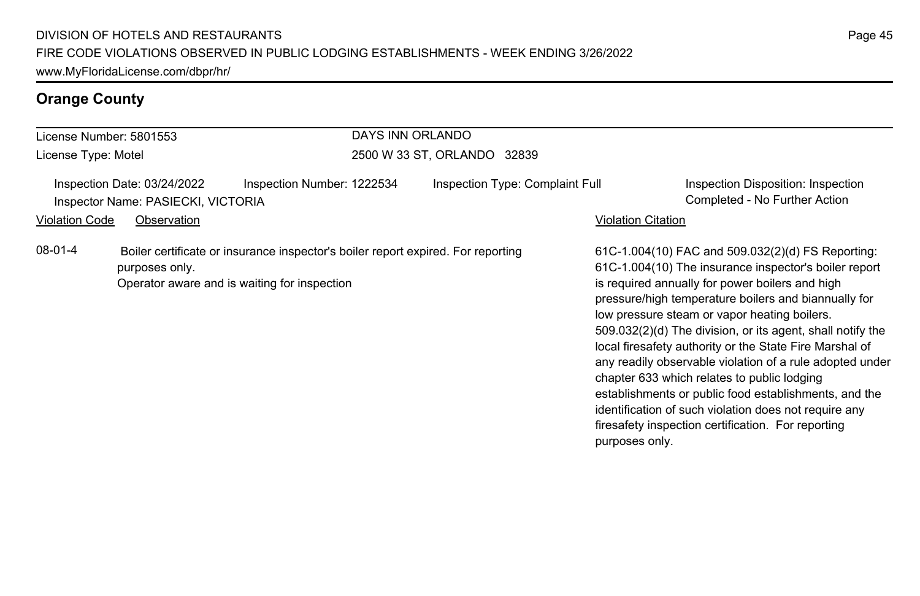# **Orange County**

| License Number: 5801553                                                   | DAYS INN ORLANDO                                                                 |                                                                                                                                                                                                                                                                                                                                                                                                                                                                                                                                                                                                                                                                                                     |  |  |  |  |
|---------------------------------------------------------------------------|----------------------------------------------------------------------------------|-----------------------------------------------------------------------------------------------------------------------------------------------------------------------------------------------------------------------------------------------------------------------------------------------------------------------------------------------------------------------------------------------------------------------------------------------------------------------------------------------------------------------------------------------------------------------------------------------------------------------------------------------------------------------------------------------------|--|--|--|--|
| License Type: Motel                                                       | 2500 W 33 ST, ORLANDO 32839                                                      |                                                                                                                                                                                                                                                                                                                                                                                                                                                                                                                                                                                                                                                                                                     |  |  |  |  |
| Inspection Date: 03/24/2022<br>Inspector Name: PASIECKI, VICTORIA         | Inspection Number: 1222534<br>Inspection Type: Complaint Full                    | Inspection Disposition: Inspection<br>Completed - No Further Action                                                                                                                                                                                                                                                                                                                                                                                                                                                                                                                                                                                                                                 |  |  |  |  |
| Violation Code<br>Observation                                             |                                                                                  | Violation Citation                                                                                                                                                                                                                                                                                                                                                                                                                                                                                                                                                                                                                                                                                  |  |  |  |  |
| 08-01-4<br>purposes only.<br>Operator aware and is waiting for inspection | Boiler certificate or insurance inspector's boiler report expired. For reporting | 61C-1.004(10) FAC and 509.032(2)(d) FS Reporting:<br>61C-1.004(10) The insurance inspector's boiler report<br>is required annually for power boilers and high<br>pressure/high temperature boilers and biannually for<br>low pressure steam or vapor heating boilers.<br>509.032(2)(d) The division, or its agent, shall notify the<br>local firesafety authority or the State Fire Marshal of<br>any readily observable violation of a rule adopted under<br>chapter 633 which relates to public lodging<br>establishments or public food establishments, and the<br>identification of such violation does not require any<br>firesafety inspection certification. For reporting<br>purposes only. |  |  |  |  |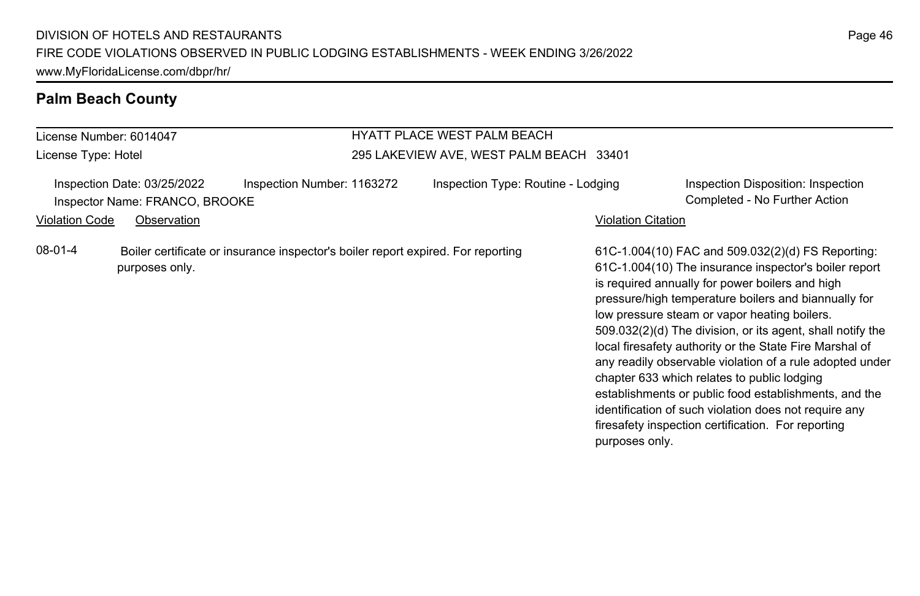### **Palm Beach County**

### License Number: 6014047 License Type: Hotel HYATT PLACE WEST PALM BEACH 295 LAKEVIEW AVE, WEST PALM BEACH 33401 Inspection Date: 03/25/2022 Inspection Number: 1163272 Inspection Type: Routine - Lodging Inspection Disposition: Inspection Inspector Name: FRANCO, BROOKE Completed - No Further Action Violation Code Observation **Violation Code** Observation **Violation** Violation Citation Citation Citation Citation 61C-1.004(10) FAC and 509.032(2)(d) FS Reporting: 61C-1.004(10) The insurance inspector's boiler report is required annually for power boilers and high pressure/high temperature boilers and biannually for low pressure steam or vapor heating boilers. 509.032(2)(d) The division, or its agent, shall notify the local firesafety authority or the State Fire Marshal of any readily observable violation of a rule adopted under chapter 633 which relates to public lodging establishments or public food establishments, and the identification of such violation does not require any firesafety inspection certification. For reporting purposes only. 08-01-4 Boiler certificate or insurance inspector's boiler report expired. For reporting purposes only.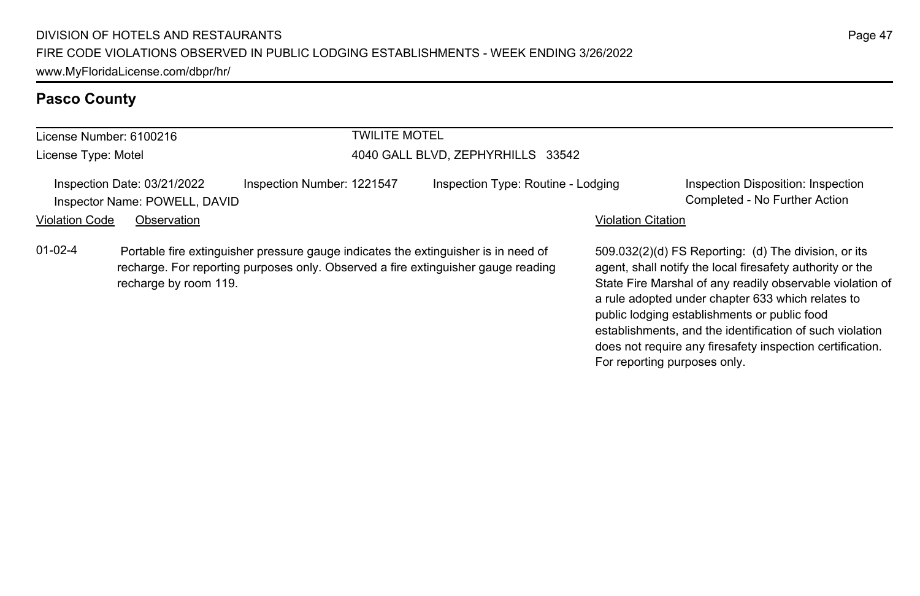### **Pasco County**

| License Number: 6100216 |                                                              |                            | <b>TWILITE MOTEL</b>              |                                                                                                                                                                         |                           |                                                                                                                                                                             |
|-------------------------|--------------------------------------------------------------|----------------------------|-----------------------------------|-------------------------------------------------------------------------------------------------------------------------------------------------------------------------|---------------------------|-----------------------------------------------------------------------------------------------------------------------------------------------------------------------------|
| License Type: Motel     |                                                              |                            | 4040 GALL BLVD. ZEPHYRHILLS 33542 |                                                                                                                                                                         |                           |                                                                                                                                                                             |
|                         | Inspection Date: 03/21/2022<br>Inspector Name: POWELL, DAVID | Inspection Number: 1221547 |                                   | Inspection Type: Routine - Lodging                                                                                                                                      |                           | Inspection Disposition: Inspection<br>Completed - No Further Action                                                                                                         |
| <b>Violation Code</b>   | Observation                                                  |                            |                                   |                                                                                                                                                                         | <b>Violation Citation</b> |                                                                                                                                                                             |
| $01 - 02 - 4$           | recharge by room 119.                                        |                            |                                   | Portable fire extinguisher pressure gauge indicates the extinguisher is in need of<br>recharge. For reporting purposes only. Observed a fire extinguisher gauge reading |                           | 509.032(2)(d) FS Reporting: (d) The division, or its<br>agent, shall notify the local firesafety authority or the<br>State Fire Marshal of any readily observable violation |

agent, shall notify the local firesafety authority or the State Fire Marshal of any readily observable violation of a rule adopted under chapter 633 which relates to public lodging establishments or public food establishments, and the identification of such violation does not require any firesafety inspection certification. For reporting purposes only.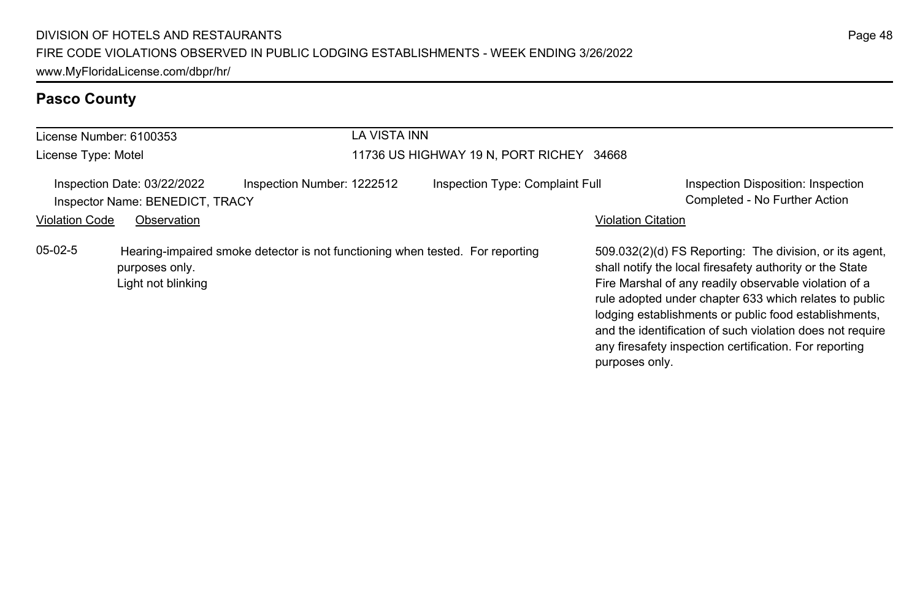# **Pasco County**

| License Number: 6100353 |                                                                | LA VISTA INN                                                                  |                                          |                           |                                                                                                                                                                                                                                                                                                                                                                                                                        |
|-------------------------|----------------------------------------------------------------|-------------------------------------------------------------------------------|------------------------------------------|---------------------------|------------------------------------------------------------------------------------------------------------------------------------------------------------------------------------------------------------------------------------------------------------------------------------------------------------------------------------------------------------------------------------------------------------------------|
| License Type: Motel     |                                                                |                                                                               | 11736 US HIGHWAY 19 N, PORT RICHEY 34668 |                           |                                                                                                                                                                                                                                                                                                                                                                                                                        |
|                         | Inspection Date: 03/22/2022<br>Inspector Name: BENEDICT, TRACY | Inspection Number: 1222512                                                    | Inspection Type: Complaint Full          |                           | Inspection Disposition: Inspection<br>Completed - No Further Action                                                                                                                                                                                                                                                                                                                                                    |
| <b>Violation Code</b>   | Observation                                                    |                                                                               |                                          | <b>Violation Citation</b> |                                                                                                                                                                                                                                                                                                                                                                                                                        |
| $05-02-5$               | purposes only.<br>Light not blinking                           | Hearing-impaired smoke detector is not functioning when tested. For reporting |                                          | purposes only.            | 509.032(2)(d) FS Reporting: The division, or its agent,<br>shall notify the local firesafety authority or the State<br>Fire Marshal of any readily observable violation of a<br>rule adopted under chapter 633 which relates to public<br>lodging establishments or public food establishments,<br>and the identification of such violation does not require<br>any firesafety inspection certification. For reporting |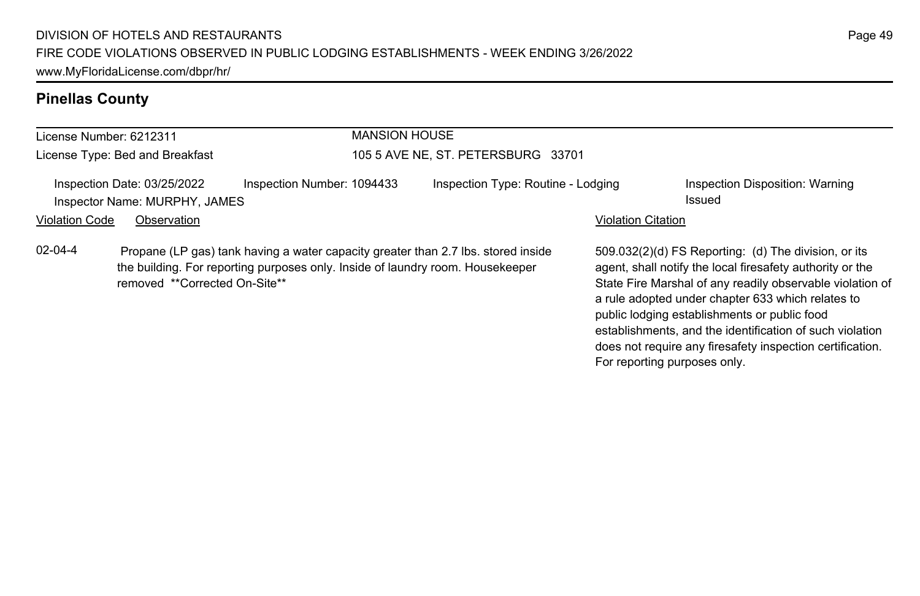|                       | License Number: 6212311                                      |                                                                                                                                                                     | <b>MANSION HOUSE</b>               |                           |                                                                                                                                                                                                                                                                                                                                                 |  |  |
|-----------------------|--------------------------------------------------------------|---------------------------------------------------------------------------------------------------------------------------------------------------------------------|------------------------------------|---------------------------|-------------------------------------------------------------------------------------------------------------------------------------------------------------------------------------------------------------------------------------------------------------------------------------------------------------------------------------------------|--|--|
|                       | License Type: Bed and Breakfast                              |                                                                                                                                                                     | 105 5 AVE NE. ST. PETERSBURG 33701 |                           |                                                                                                                                                                                                                                                                                                                                                 |  |  |
|                       | Inspection Date: 03/25/2022<br>Inspector Name: MURPHY, JAMES | Inspection Number: 1094433                                                                                                                                          | Inspection Type: Routine - Lodging |                           | Inspection Disposition: Warning<br>Issued                                                                                                                                                                                                                                                                                                       |  |  |
| <b>Violation Code</b> | Observation                                                  |                                                                                                                                                                     |                                    | <b>Violation Citation</b> |                                                                                                                                                                                                                                                                                                                                                 |  |  |
| $02 - 04 - 4$         | removed **Corrected On-Site**                                | Propane (LP gas) tank having a water capacity greater than 2.7 lbs. stored inside<br>the building. For reporting purposes only. Inside of laundry room. Housekeeper |                                    |                           | 509.032(2)(d) FS Reporting: (d) The division, or its<br>agent, shall notify the local firesafety authority or the<br>State Fire Marshal of any readily observable violation of<br>a rule adopted under chapter 633 which relates to<br>public lodging establishments or public food<br>establishments, and the identification of such violation |  |  |

does not require any firesafety inspection certification.

For reporting purposes only.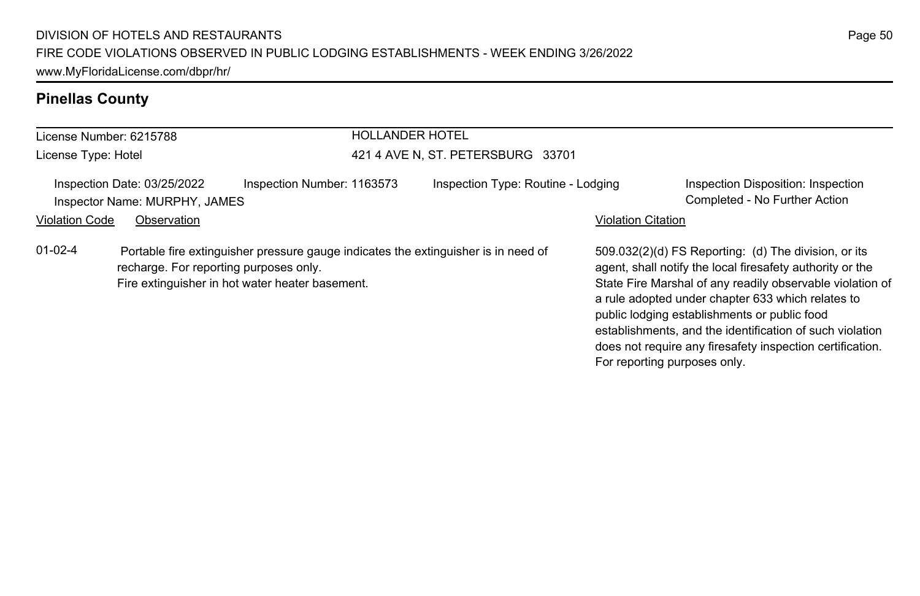|                                                              | License Number: 6215788                | <b>HOLLANDER HOTEL</b>                                                                                                                |                                    |                              |                                                                                                                                                                                                                                                                                                                                                                                                              |  |
|--------------------------------------------------------------|----------------------------------------|---------------------------------------------------------------------------------------------------------------------------------------|------------------------------------|------------------------------|--------------------------------------------------------------------------------------------------------------------------------------------------------------------------------------------------------------------------------------------------------------------------------------------------------------------------------------------------------------------------------------------------------------|--|
| License Type: Hotel                                          |                                        |                                                                                                                                       | 421 4 AVE N, ST. PETERSBURG 33701  |                              |                                                                                                                                                                                                                                                                                                                                                                                                              |  |
| Inspection Date: 03/25/2022<br>Inspector Name: MURPHY, JAMES |                                        | Inspection Number: 1163573                                                                                                            | Inspection Type: Routine - Lodging |                              | Inspection Disposition: Inspection<br>Completed - No Further Action                                                                                                                                                                                                                                                                                                                                          |  |
| <b>Violation Code</b>                                        | Observation                            |                                                                                                                                       |                                    | <b>Violation Citation</b>    |                                                                                                                                                                                                                                                                                                                                                                                                              |  |
| $01 - 02 - 4$                                                | recharge. For reporting purposes only. | Portable fire extinguisher pressure gauge indicates the extinguisher is in need of<br>Fire extinguisher in hot water heater basement. |                                    | For reporting purposes only. | 509.032(2)(d) FS Reporting: (d) The division, or its<br>agent, shall notify the local firesafety authority or the<br>State Fire Marshal of any readily observable violation of<br>a rule adopted under chapter 633 which relates to<br>public lodging establishments or public food<br>establishments, and the identification of such violation<br>does not require any firesafety inspection certification. |  |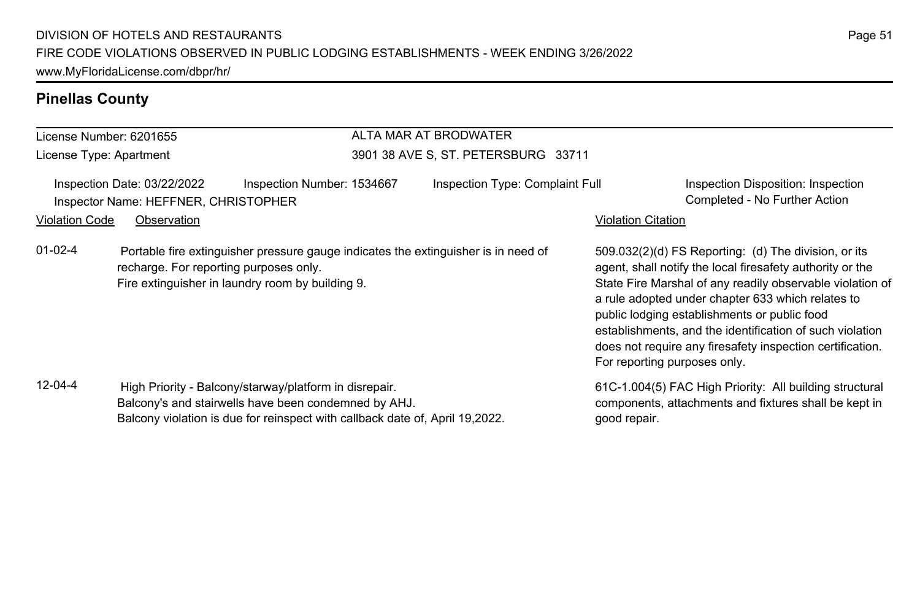### License Number: 6201655 License Type: Apartment ALTA MAR AT BRODWATER 3901 38 AVE S, ST. PETERSBURG 33711 Inspection Date: 03/22/2022 Inspection Number: 1534667 Inspection Type: Complaint Full Inspection Disposition: Inspection Inspector Name: HEFFNER, CHRISTOPHER COMPLETED FOR COMPLETED SAME COMPLETED FOR THE COMPLETED FOR THE COMPLETED FOR THE COMPLETED FOR THE COMPLETED FOR COMPLETED FOR COMPLETED FOR COMPLETED FOR COMPLETED FOR COMPLETED FOR Violation Code Observation **Violation Code** Observation **Violation** Violation Citation Citation Citation Citation 509.032(2)(d) FS Reporting: (d) The division, or its agent, shall notify the local firesafety authority or the State Fire Marshal of any readily observable violation of a rule adopted under chapter 633 which relates to public lodging establishments or public food establishments, and the identification of such violation does not require any firesafety inspection certification. For reporting purposes only. 01-02-4 Portable fire extinguisher pressure gauge indicates the extinguisher is in need of recharge. For reporting purposes only. Fire extinguisher in laundry room by building 9. 61C-1.004(5) FAC High Priority: All building structural components, attachments and fixtures shall be kept in good repair. 12-04-4 High Priority - Balcony/starway/platform in disrepair. Balcony's and stairwells have been condemned by AHJ. Balcony violation is due for reinspect with callback date of, April 19,2022.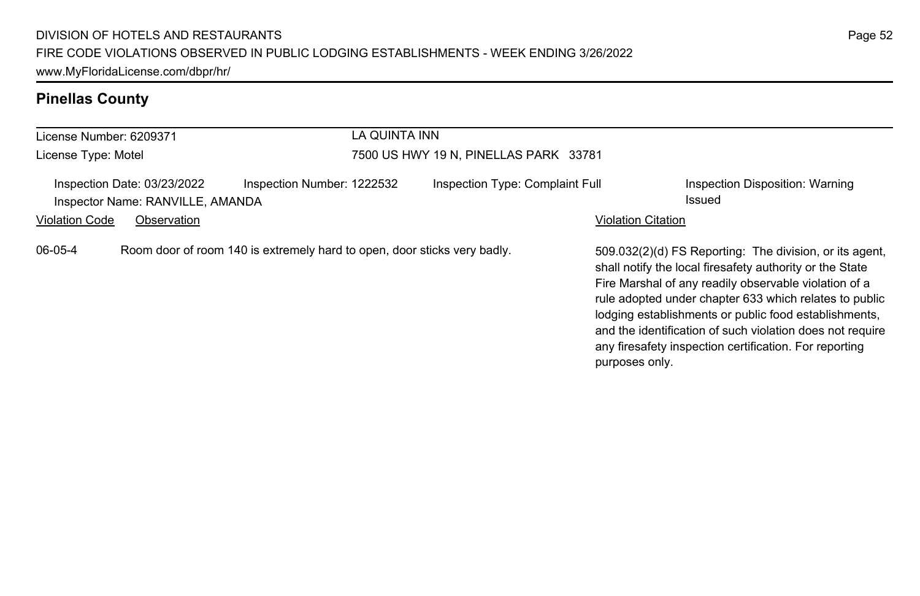| License Number: 6209371                                                                       | LA QUINTA INN                         |                                                                                                                                                                                                                                                                                                                                                                                                                                          |  |  |  |
|-----------------------------------------------------------------------------------------------|---------------------------------------|------------------------------------------------------------------------------------------------------------------------------------------------------------------------------------------------------------------------------------------------------------------------------------------------------------------------------------------------------------------------------------------------------------------------------------------|--|--|--|
| License Type: Motel                                                                           | 7500 US HWY 19 N, PINELLAS PARK 33781 |                                                                                                                                                                                                                                                                                                                                                                                                                                          |  |  |  |
| Inspection Number: 1222532<br>Inspection Date: 03/23/2022<br>Inspector Name: RANVILLE, AMANDA | Inspection Type: Complaint Full       | Inspection Disposition: Warning<br>Issued                                                                                                                                                                                                                                                                                                                                                                                                |  |  |  |
| <b>Violation Code</b><br>Observation                                                          |                                       | <b>Violation Citation</b>                                                                                                                                                                                                                                                                                                                                                                                                                |  |  |  |
| Room door of room 140 is extremely hard to open, door sticks very badly.<br>06-05-4           |                                       | 509.032(2)(d) FS Reporting: The division, or its agent,<br>shall notify the local firesafety authority or the State<br>Fire Marshal of any readily observable violation of a<br>rule adopted under chapter 633 which relates to public<br>lodging establishments or public food establishments,<br>and the identification of such violation does not require<br>any firesafety inspection certification. For reporting<br>purposes only. |  |  |  |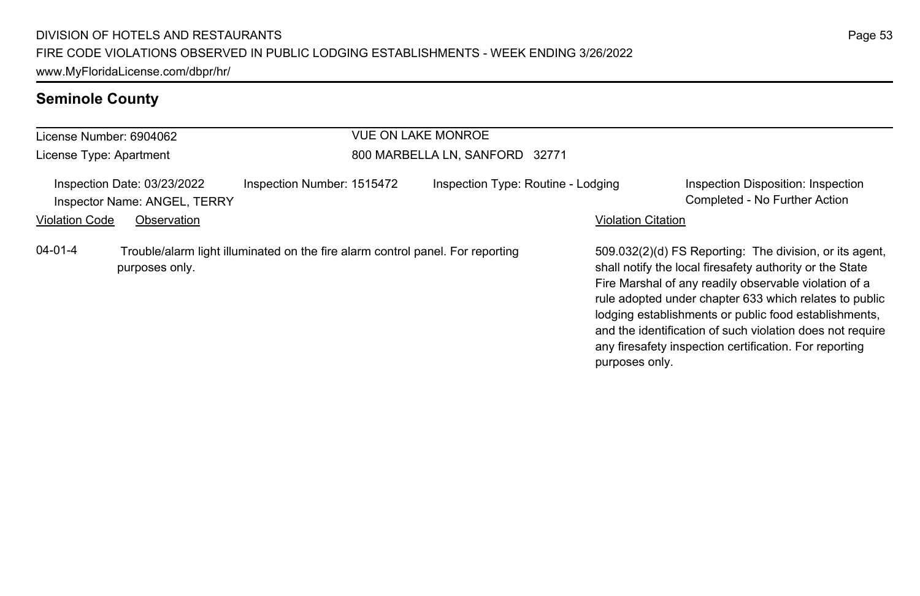### **Seminole County**

### License Number: 6904062 License Type: Apartment VUE ON LAKE MONROE 800 MARBELLA LN, SANFORD 32771 Inspection Date: 03/23/2022 Inspection Number: 1515472 Inspection Type: Routine - Lodging Inspection Disposition: Inspection Inspector Name: ANGEL, TERRY Completed - No Further Action Violation Code Observation **Violation Code Observation** Violation Citation Citation Citation Citation Citation Citation Citation Citation Citation Citation Citation Citation Citation Citation Citation Citation Citation Cit 509.032(2)(d) FS Reporting: The division, or its agent, shall notify the local firesafety authority or the State Fire Marshal of any readily observable violation of a rule adopted under chapter 633 which relates to public lodging establishments or public food establishments, and the identification of such violation does not require any firesafety inspection certification. For reporting 04-01-4 Trouble/alarm light illuminated on the fire alarm control panel. For reporting purposes only.

purposes only.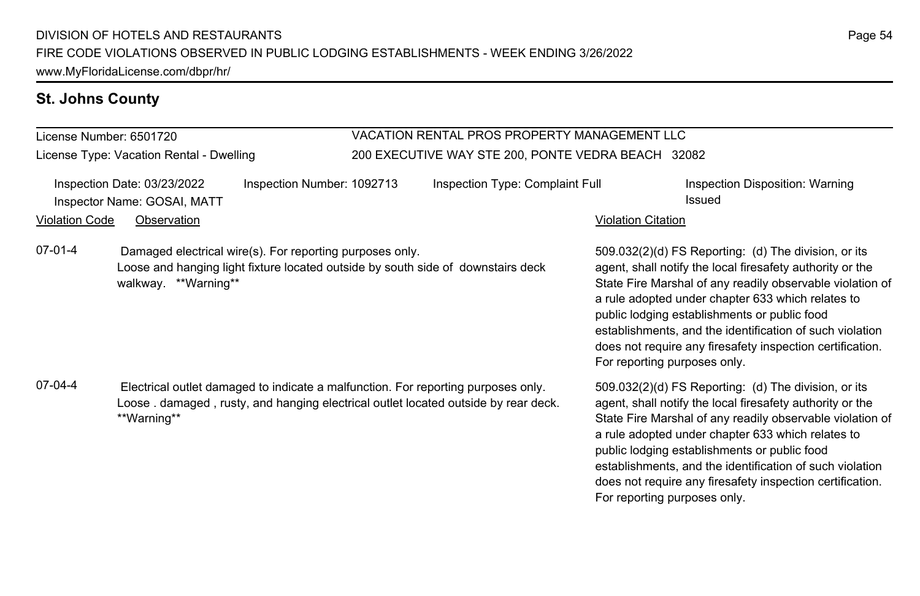# **St. Johns County**

License Number: 6501720

License Type: Vacation Rental - Dwelling

### VACATION RENTAL PROS PROPERTY MANAGEMENT LLC 200 EXECUTIVE WAY STE 200, PONTE VEDRA BEACH 32082

| <b>Violation Code</b> | Inspection Date: 03/23/2022<br>Inspector Name: GOSAI, MATT<br>Observation | Inspection Number: 1092713                                                                                                                                              | Inspection Type: Complaint Full | <b>Violation Citation</b>    | Inspection Disposition: Warning<br>Issued                                                                                                                                                                                                                                                                                                                                                                    |
|-----------------------|---------------------------------------------------------------------------|-------------------------------------------------------------------------------------------------------------------------------------------------------------------------|---------------------------------|------------------------------|--------------------------------------------------------------------------------------------------------------------------------------------------------------------------------------------------------------------------------------------------------------------------------------------------------------------------------------------------------------------------------------------------------------|
| $07-01-4$             | walkway **Warning**                                                       | Damaged electrical wire(s). For reporting purposes only.<br>Loose and hanging light fixture located outside by south side of downstairs deck                            |                                 | For reporting purposes only. | 509.032(2)(d) FS Reporting: (d) The division, or its<br>agent, shall notify the local firesafety authority or the<br>State Fire Marshal of any readily observable violation of<br>a rule adopted under chapter 633 which relates to<br>public lodging establishments or public food<br>establishments, and the identification of such violation<br>does not require any firesafety inspection certification. |
| 07-04-4               | **Warning**                                                               | Electrical outlet damaged to indicate a malfunction. For reporting purposes only.<br>Loose, damaged, rusty, and hanging electrical outlet located outside by rear deck. |                                 | For reporting purposes only. | 509.032(2)(d) FS Reporting: (d) The division, or its<br>agent, shall notify the local firesafety authority or the<br>State Fire Marshal of any readily observable violation of<br>a rule adopted under chapter 633 which relates to<br>public lodging establishments or public food<br>establishments, and the identification of such violation<br>does not require any firesafety inspection certification. |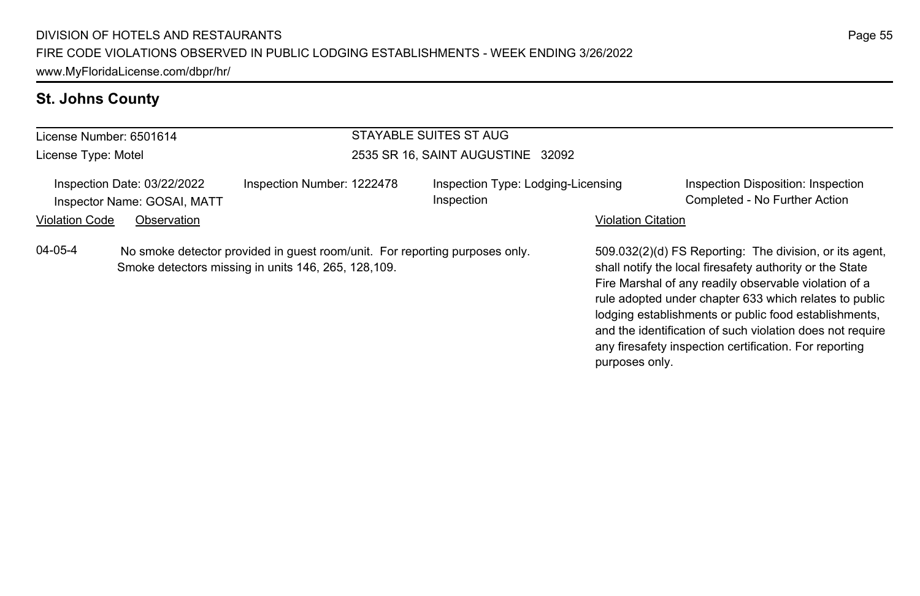### **St. Johns County**

### License Number: 6501614 License Type: Motel STAYABLE SUITES ST AUG 2535 SR 16, SAINT AUGUSTINE 32092 Inspection Date: 03/22/2022 Inspection Number: 1222478 Inspection Type: Lodging-Licensing Inspection Inspection Disposition: Inspection Inspector Name: GOSAI, MATT **Completed - No Further Action** Completed - No Further Action Violation Code Observation **Violation Code Observation** Violation Citation Citation Citation Citation Citation Citation Citation Citation Citation Citation Citation Citation Citation Citation Citation Citation Citation Cit 509.032(2)(d) FS Reporting: The division, or its agent, shall notify the local firesafety authority or the State Fire Marshal of any readily observable violation of a rule adopted under chapter 633 which relates to public lodging establishments or public food establishments, and the identification of such violation does not require any firesafety inspection certification. For reporting purposes only. 04-05-4 No smoke detector provided in guest room/unit. For reporting purposes only. Smoke detectors missing in units 146, 265, 128,109.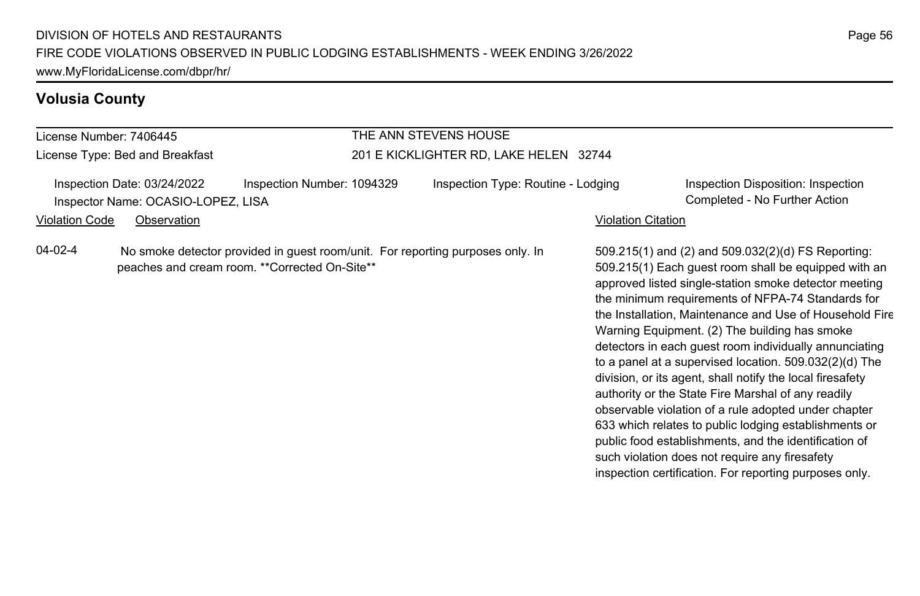### **Volusia County**

License Number: 7406445 License Type: Bed and Breakfast

### THE ANN STEVENS HOUSE 201 E KICKLIGHTER RD, LAKE HELEN 32744

Inspection Date: 03/24/2022 Inspection Number: 1094329 Inspection Type: Routine - Lodging Inspection Disposition: Inspection Inspector Name: OCASIO-LOPEZ, LISA Completed - No Further Action

Violation Code Observation Violation Citation

04-02-4 No smoke detector provided in guest room/unit. For reporting purposes only. In peaches and cream room. \*\*Corrected On-Site\*\*

509.215(1) and (2) and 509.032(2)(d) FS Reporting: 509.215(1) Each guest room shall be equipped with an approved listed single-station smoke detector meeting the minimum requirements of NFPA-74 Standards for the Installation, Maintenance and Use of Household Fire Warning Equipment. (2) The building has smoke detectors in each guest room individually annunciating to a panel at a supervised location. 509.032(2)(d) The division, or its agent, shall notify the local firesafety authority or the State Fire Marshal of any readily observable violation of a rule adopted under chapter 633 which relates to public lodging establishments or public food establishments, and the identification of such violation does not require any firesafety inspection certification. For reporting purposes only.